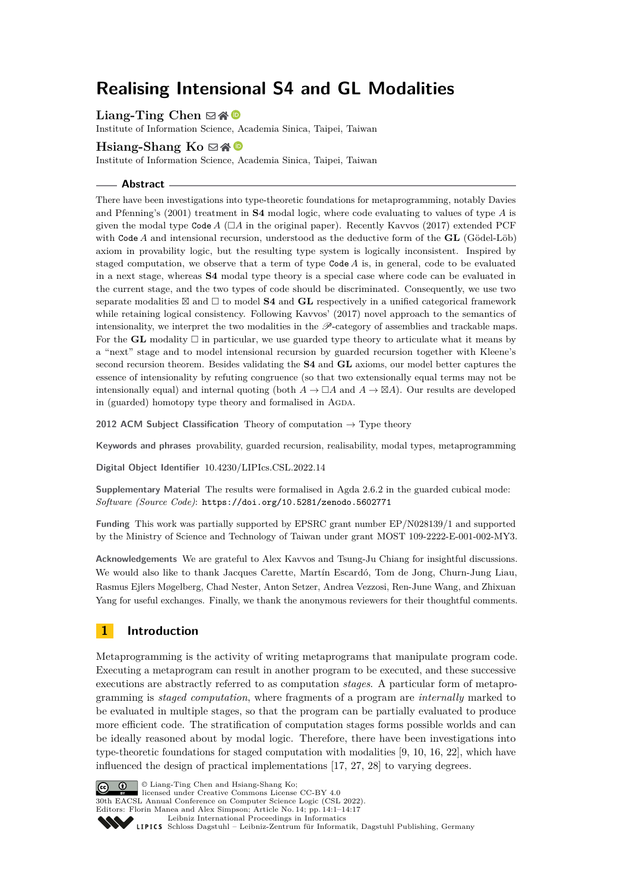# **Realising Intensional S4 and GL Modalities**

Liang-Ting Chen ⊠**分** 

Institute of Information Science, Academia Sinica, Taipei, Taiwan

# **Hsiang-Shang Ko** ⊠ A **©**

Institute of Information Science, Academia Sinica, Taipei, Taiwan

#### **Abstract**

There have been investigations into type-theoretic foundations for metaprogramming, notably Davies and Pfenning's (2001) treatment in **S4** modal logic, where code evaluating to values of type *A* is given the modal type  $\text{Code }A$  ( $\Box A$  in the original paper). Recently Kavvos (2017) extended PCF with Code *A* and intensional recursion, understood as the deductive form of the **GL** (Gödel-Löb) axiom in provability logic, but the resulting type system is logically inconsistent. Inspired by staged computation, we observe that a term of type Code *A* is, in general, code to be evaluated in a next stage, whereas **S4** modal type theory is a special case where code can be evaluated in the current stage, and the two types of code should be discriminated. Consequently, we use two separate modalities  $\boxtimes$  and  $\Box$  to model **S4** and **GL** respectively in a unified categorical framework while retaining logical consistency. Following Kavvos' (2017) novel approach to the semantics of intensionality, we interpret the two modalities in the  $\mathscr P$ -category of assemblies and trackable maps. For the **GL** modality  $\Box$  in particular, we use guarded type theory to articulate what it means by a "next" stage and to model intensional recursion by guarded recursion together with Kleene's second recursion theorem. Besides validating the **S4** and **GL** axioms, our model better captures the essence of intensionality by refuting congruence (so that two extensionally equal terms may not be intensionally equal) and internal quoting (both  $A \to \Box A$  and  $A \to \Box A$ ). Our results are developed in (guarded) homotopy type theory and formalised in AGDA.

**2012 ACM Subject Classification** Theory of computation → Type theory

**Keywords and phrases** provability, guarded recursion, realisability, modal types, metaprogramming

**Digital Object Identifier** [10.4230/LIPIcs.CSL.2022.14](https://doi.org/10.4230/LIPIcs.CSL.2022.14)

**Supplementary Material** The results were formalised in Agda 2.6.2 in the guarded cubical mode: *Software (Source Code)*: <https://doi.org/10.5281/zenodo.5602771>

**Funding** This work was partially supported by EPSRC grant number EP/N028139/1 and supported by the Ministry of Science and Technology of Taiwan under grant MOST 109-2222-E-001-002-MY3.

**Acknowledgements** We are grateful to Alex Kavvos and Tsung-Ju Chiang for insightful discussions. We would also like to thank Jacques Carette, Martín Escardó, Tom de Jong, Churn-Jung Liau, Rasmus Ejlers Møgelberg, Chad Nester, Anton Setzer, Andrea Vezzosi, Ren-June Wang, and Zhixuan Yang for useful exchanges. Finally, we thank the anonymous reviewers for their thoughtful comments.

# **1 Introduction**

Metaprogramming is the activity of writing metaprograms that manipulate program code. Executing a metaprogram can result in another program to be executed, and these successive executions are abstractly referred to as computation *stages*. A particular form of metaprogramming is *staged computation*, where fragments of a program are *internally* marked to be evaluated in multiple stages, so that the program can be partially evaluated to produce more efficient code. The stratification of computation stages forms possible worlds and can be ideally reasoned about by modal logic. Therefore, there have been investigations into type-theoretic foundations for staged computation with modalities [\[9,](#page-15-0) [10,](#page-15-1) [16,](#page-16-0) [22\]](#page-16-1), which have influenced the design of practical implementations [\[17,](#page-16-2) [27,](#page-16-3) [28\]](#page-16-4) to varying degrees.



© Liang-Ting Chen and Hsiang-Shang Ko;

licensed under Creative Commons License CC-BY 4.0

30th EACSL Annual Conference on Computer Science Logic (CSL 2022). Editors: Florin Manea and Alex Simpson; Article No. 14; pp. 14:1–14:17

[Leibniz International Proceedings in Informatics](https://www.dagstuhl.de/lipics/)

[Schloss Dagstuhl – Leibniz-Zentrum für Informatik, Dagstuhl Publishing, Germany](https://www.dagstuhl.de)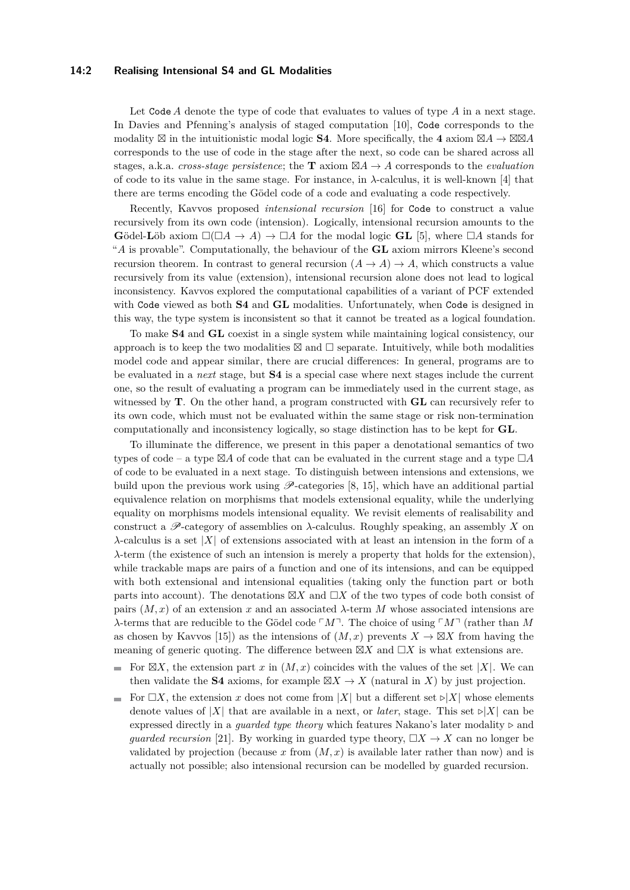#### **14:2 Realising Intensional S4 and GL Modalities**

Let Code *A* denote the type of code that evaluates to values of type *A* in a next stage. In Davies and Pfenning's analysis of staged computation [\[10\]](#page-15-1), Code corresponds to the modality  $\boxtimes$  in the intuitionistic modal logic **S4**. More specifically, the 4 axiom  $\boxtimes A \rightarrow \boxtimes \boxtimes A$ corresponds to the use of code in the stage after the next, so code can be shared across all stages, a.k.a. *cross-stage persistence*; the **T** axiom  $\boxtimes A \to A$  corresponds to the *evaluation* of code to its value in the same stage. For instance, in *λ*-calculus, it is well-known [\[4\]](#page-15-2) that there are terms encoding the Gödel code of a code and evaluating a code respectively.

Recently, Kavvos proposed *intensional recursion* [\[16\]](#page-16-0) for Code to construct a value recursively from its own code (intension). Logically, intensional recursion amounts to the Gödel-Löb axiom  $\square(\square A \rightarrow A) \rightarrow \square A$  for the modal logic **GL** [\[5\]](#page-15-3), where  $\square A$  stands for "*A* is provable". Computationally, the behaviour of the **GL** axiom mirrors Kleene's second recursion theorem. In contrast to general recursion  $(A \to A) \to A$ , which constructs a value recursively from its value (extension), intensional recursion alone does not lead to logical inconsistency. Kavvos explored the computational capabilities of a variant of PCF extended with Code viewed as both **S4** and **GL** modalities. Unfortunately, when Code is designed in this way, the type system is inconsistent so that it cannot be treated as a logical foundation.

To make **S4** and **GL** coexist in a single system while maintaining logical consistency, our approach is to keep the two modalities  $\boxtimes$  and  $\square$  separate. Intuitively, while both modalities model code and appear similar, there are crucial differences: In general, programs are to be evaluated in a *next* stage, but **S4** is a special case where next stages include the current one, so the result of evaluating a program can be immediately used in the current stage, as witnessed by **T**. On the other hand, a program constructed with **GL** can recursively refer to its own code, which must not be evaluated within the same stage or risk non-termination computationally and inconsistency logically, so stage distinction has to be kept for **GL**.

To illuminate the difference, we present in this paper a denotational semantics of two types of code – a type  $\boxtimes A$  of code that can be evaluated in the current stage and a type  $\Box A$ of code to be evaluated in a next stage. To distinguish between intensions and extensions, we build upon the previous work using  $\mathscr{P}$ -categories [\[8,](#page-15-4) [15\]](#page-16-5), which have an additional partial equivalence relation on morphisms that models extensional equality, while the underlying equality on morphisms models intensional equality. We revisit elements of realisability and construct a  $\mathscr{P}$ -category of assemblies on  $\lambda$ -calculus. Roughly speaking, an assembly X on *λ*-calculus is a set |*X*| of extensions associated with at least an intension in the form of a *λ*-term (the existence of such an intension is merely a property that holds for the extension), while trackable maps are pairs of a function and one of its intensions, and can be equipped with both extensional and intensional equalities (taking only the function part or both parts into account). The denotations  $\boxtimes X$  and  $\Box X$  of the two types of code both consist of pairs  $(M, x)$  of an extension x and an associated  $\lambda$ -term M whose associated intensions are *λ*-terms that are reducible to the Gödel code ⌜*M*⌝. The choice of using ⌜*M*⌝ (rather than *M* as chosen by Kavvos [\[15\]](#page-16-5)) as the intensions of  $(M, x)$  prevents  $X \to \boxtimes X$  from having the meaning of generic quoting. The difference between  $\boxtimes X$  and  $\Box X$  is what extensions are.

- For  $\boxtimes X$ , the extension part *x* in  $(M, x)$  coincides with the values of the set |*X*|. We can  $\sim$ then validate the **S4** axioms, for example  $\boxtimes X \rightarrow X$  (natural in *X*) by just projection.
- For  $\Box X$ , the extension *x* does not come from  $|X|$  but a different set  $\triangleright |X|$  whose elements denote values of  $|X|$  that are available in a next, or *later*, stage. This set  $\triangleright |X|$  can be expressed directly in a *guarded type theory* which features Nakano's later modality *▷* and *guarded recursion* [\[21\]](#page-16-6). By working in guarded type theory,  $\Box X \rightarrow X$  can no longer be validated by projection (because x from  $(M, x)$  is available later rather than now) and is actually not possible; also intensional recursion can be modelled by guarded recursion.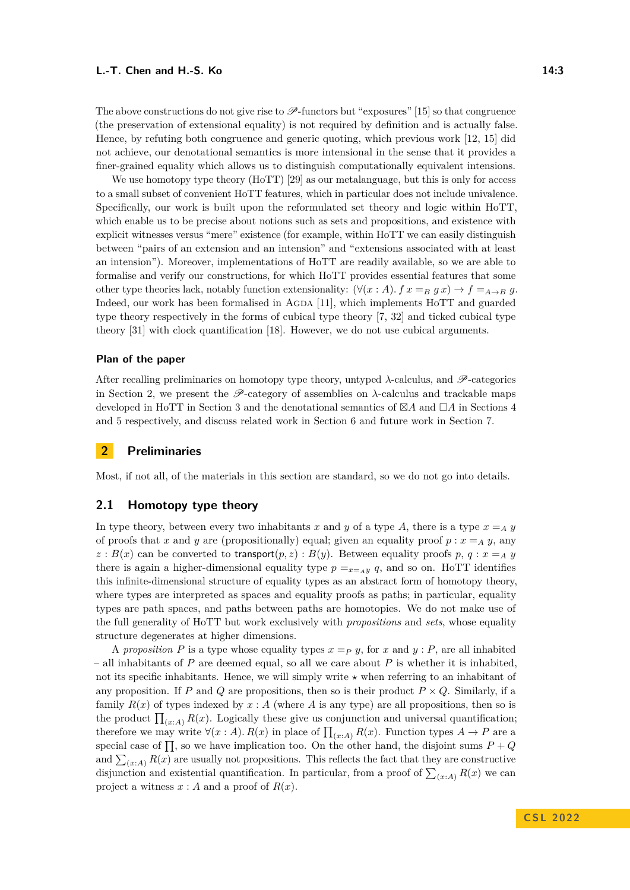The above constructions do not give rise to  $\mathscr{P}\text{-functors}$  but "exposures" [\[15\]](#page-16-5) so that congruence (the preservation of extensional equality) is not required by definition and is actually false. Hence, by refuting both congruence and generic quoting, which previous work [\[12,](#page-15-5) [15\]](#page-16-5) did not achieve, our denotational semantics is more intensional in the sense that it provides a finer-grained equality which allows us to distinguish computationally equivalent intensions.

We use homotopy type theory (HoTT) [\[29\]](#page-16-7) as our metalanguage, but this is only for access to a small subset of convenient HoTT features, which in particular does not include univalence. Specifically, our work is built upon the reformulated set theory and logic within HoTT, which enable us to be precise about notions such as sets and propositions, and existence with explicit witnesses versus "mere" existence (for example, within HoTT we can easily distinguish between "pairs of an extension and an intension" and "extensions associated with at least an intension"). Moreover, implementations of HoTT are readily available, so we are able to formalise and verify our constructions, for which HoTT provides essential features that some other type theories lack, notably function extensionality:  $(\forall (x : A) \cdot f x =_B g x) \rightarrow f =_{A \rightarrow B} g$ . Indeed, our work has been formalised in AGDA [\[11\]](#page-15-6), which implements HoTT and guarded type theory respectively in the forms of cubical type theory [\[7,](#page-15-7) [32\]](#page-16-8) and ticked cubical type theory [\[31\]](#page-16-9) with clock quantification [\[18\]](#page-16-10). However, we do not use cubical arguments.

#### **Plan of the paper**

After recalling preliminaries on homotopy type theory, untyped *λ*-calculus, and P-categories in Section [2,](#page-2-0) we present the  $\mathscr{P}$ -category of assemblies on  $\lambda$ -calculus and trackable maps developed in HoTT in Section [3](#page-5-0) and the denotational semantics of ⊠*A* and □*A* in Sections [4](#page-8-0) and [5](#page-10-0) respectively, and discuss related work in Section [6](#page-14-0) and future work in Section [7.](#page-14-1)

# <span id="page-2-0"></span>**2 Preliminaries**

Most, if not all, of the materials in this section are standard, so we do not go into details.

# **2.1 Homotopy type theory**

In type theory, between every two inhabitants *x* and *y* of a type *A*, there is a type  $x = A$  *y* of proofs that *x* and *y* are (propositionally) equal; given an equality proof  $p : x = A y$ , any  $z : B(x)$  can be converted to transport $(p, z) : B(y)$ . Between equality proofs  $p, q : x = A$ there is again a higher-dimensional equality type  $p =_{x = A} q$ , and so on. HoTT identifies this infinite-dimensional structure of equality types as an abstract form of homotopy theory, where types are interpreted as spaces and equality proofs as paths; in particular, equality types are path spaces, and paths between paths are homotopies. We do not make use of the full generality of HoTT but work exclusively with *propositions* and *sets*, whose equality structure degenerates at higher dimensions.

A proposition P is a type whose equality types  $x = P$  *y*, for *x* and *y* : P, are all inhabited – all inhabitants of *P* are deemed equal, so all we care about *P* is whether it is inhabited, not its specific inhabitants. Hence, we will simply write *⋆* when referring to an inhabitant of any proposition. If *P* and *Q* are propositions, then so is their product  $P \times Q$ . Similarly, if a family  $R(x)$  of types indexed by  $x : A$  (where  $A$  is any type) are all propositions, then so is the product  $\prod_{(x:A)} R(x)$ . Logically these give us conjunction and universal quantification; therefore we may write  $\forall (x : A)$ .  $R(x)$  in place of  $\prod_{(x : A)} R(x)$ . Function types  $A \to P$  are a special case of  $\prod$ , so we have implication too. On the other hand, the disjoint sums  $P + Q$ and  $\sum_{(x:A)} R(x)$  are usually not propositions. This reflects the fact that they are constructive disjunction and existential quantification. In particular, from a proof of  $\sum_{(x:A)} R(x)$  we can project a witness  $x : A$  and a proof of  $R(x)$ .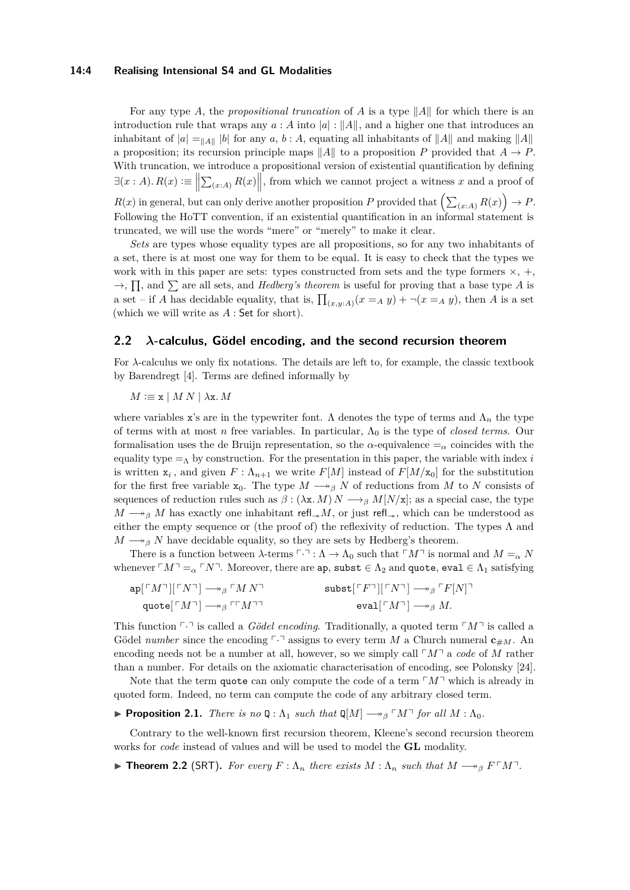#### **14:4 Realising Intensional S4 and GL Modalities**

For any type *A*, the *propositional truncation* of *A* is a type ∥*A*∥ for which there is an introduction rule that wraps any  $a : A$  into  $|a| : ||A||$ , and a higher one that introduces an inhabitant of  $|a| = \frac{a}{\|A\|}$  for any *a*, *b* : *A*, equating all inhabitants of  $\|A\|$  and making  $\|A\|$ a proposition; its recursion principle maps ∥*A*∥ to a proposition *P* provided that *A* → *P*. With truncation, we introduce a propositional version of existential quantification by defining  $\exists (x : A) \ldotp R(x) := \Big\|\sum_{(x : A)} R(x)\Big\|$ , from which we cannot project a witness *x* and a proof of  $R(x)$  in general, but can only derive another proposition *P* provided that  $\left(\sum_{(x:A)} R(x)\right) \to P$ . Following the HoTT convention, if an existential quantification in an informal statement is truncated, we will use the words "mere" or "merely" to make it clear.

*Sets* are types whose equality types are all propositions, so for any two inhabitants of a set, there is at most one way for them to be equal. It is easy to check that the types we work with in this paper are sets: types constructed from sets and the type formers  $\times$ ,  $+$ ,  $\rightarrow$ ,  $\prod$ , and  $\sum$  are all sets, and *Hedberg's theorem* is useful for proving that a base type *A* is a set – if *A* has decidable equality, that is,  $\prod_{(x,y:A)} (x =_A y) + \neg (x =_A y)$ , then *A* is a set (which we will write as *A* : Set for short).

# <span id="page-3-0"></span>**2.2** *λ***-calculus, Gödel encoding, and the second recursion theorem**

For *λ*-calculus we only fix notations. The details are left to, for example, the classic textbook by Barendregt [\[4\]](#page-15-2). Terms are defined informally by

 $M \equiv \mathbf{x} \mid M N \mid \lambda \mathbf{x}$ *. M* 

where variables x's are in the typewriter font.  $\Lambda$  denotes the type of terms and  $\Lambda_n$  the type of terms with at most *n* free variables. In particular, Λ<sup>0</sup> is the type of *closed terms*. Our formalisation uses the de Bruijn representation, so the  $\alpha$ -equivalence  $=_{\alpha}$  coincides with the equality type  $=_\Lambda$  by construction. For the presentation in this paper, the variable with index *i* is written  $\mathbf{x}_i$ , and given  $F: \Lambda_{n+1}$  we write  $F[M]$  instead of  $F[M/\mathbf{x}_0]$  for the substitution for the first free variable  $x_0$ . The type  $M \longrightarrow_\beta N$  of reductions from M to N consists of sequences of reduction rules such as  $\beta$  : ( $\lambda$ x*. M*)  $N \longrightarrow_{\beta} M[N/x]$ ; as a special case, the type  $M \longrightarrow_{\beta} M$  has exactly one inhabitant refl<sub>→</sub>*M*, or just refl<sub>→</sub>, which can be understood as either the empty sequence or (the proof of) the reflexivity of reduction. The types  $\Lambda$  and  $M \rightarrow_{\beta} N$  have decidable equality, so they are sets by Hedberg's theorem.

There is a function between  $\lambda$ -terms  $\ulcorner \cdot \urcorner : \Lambda \to \Lambda_0$  such that  $\ulcorner M \urcorner$  is normal and  $M = \alpha N$ whenever  $\ulcorner M\urcorner = \alpha \ulcorner N\urcorner$ . Moreover, there are ap, subst  $\in \Lambda_2$  and quote, eval  $\in \Lambda_1$  satisfying

$$
ap[^{\ulcorner}M\urcorner][\ulcorner N\urcorner] \longrightarrow_{\beta} \ulcorner M N\urcorner \qquad \qquad \text{subst}[^{\ulcorner}F\urcorner][\ulcorner N\urcorner] \longrightarrow_{\beta} \ulcorner F[N]\urcorner \qquad \qquad \text{eval}[^{\ulcorner}M\urcorner] \longrightarrow_{\beta} M.
$$

This function  $\lceil \cdot \rceil$  is called a *Gödel encoding*. Traditionally, a quoted term  $\lceil M \rceil$  is called a Gödel *number* since the encoding  $\lceil \cdot \rceil$  assigns to every term *M* a Church numeral  $\mathbf{c}_{\#M}$ . An encoding needs not be a number at all, however, so we simply call  $\lceil M \rceil$  a *code* of M rather than a number. For details on the axiomatic characterisation of encoding, see Polonsky [\[24\]](#page-16-11).

Note that the term quote can only compute the code of a term  $\lceil M \rceil$  which is already in quoted form. Indeed, no term can compute the code of any arbitrary closed term.

<span id="page-3-1"></span>**▶ Proposition 2.1.** *There is no*  $Q: \Lambda_1$  *such that*  $Q[M] \rightarrow B^T M^T$  *for all*  $M: \Lambda_0$ *.* 

Contrary to the well-known first recursion theorem, Kleene's second recursion theorem works for *code* instead of values and will be used to model the **GL** modality.

<span id="page-3-2"></span>**► Theorem 2.2** (SRT). For every  $F : \Lambda_n$  there exists  $M : \Lambda_n$  such that  $M \rightarrow_{\beta} F \cap M \cap$ .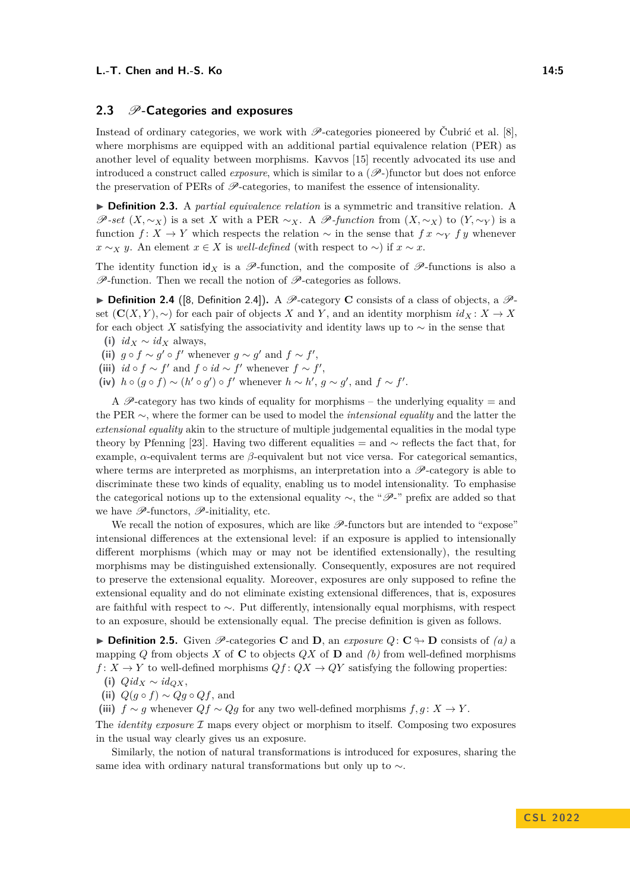# **2.3 P-Categories and exposures**

Instead of ordinary categories, we work with  $\mathscr{P}$ -categories pioneered by Čubrić et al. [\[8\]](#page-15-4), where morphisms are equipped with an additional partial equivalence relation (PER) as another level of equality between morphisms. Kavvos [\[15\]](#page-16-5) recently advocated its use and introduced a construct called *exposure*, which is similar to a  $(\mathscr{P})$  functor but does not enforce the preservation of PERs of  $\mathcal{P}$ -categories, to manifest the essence of intensionality.

▶ **Definition 2.3.** A *partial equivalence relation* is a symmetric and transitive relation. A P-set  $(X, \sim_X)$  is a set *X* with a PER  $\sim_X$ . A P-function from  $(X, \sim_X)$  to  $(Y, \sim_Y)$  is a function *f* : *X* → *Y* which respects the relation  $\sim$  in the sense that  $f \mathbf{x} \sim_Y f \mathbf{y}$  whenever *x* ∼*x y*. An element *x* ∈ *X* is *well-defined* (with respect to ∼) if *x* ∼ *x*.

The identity function  $\mathsf{id}_X$  is a  $\mathscr{P}\text{-function}$ , and the composite of  $\mathscr{P}\text{-functions}$  is also a  $\mathscr{P}\text{-}\text{function}$ . Then we recall the notion of  $\mathscr{P}\text{-}\text{categories}$  as follows.

▶ **Definition 2.4** ([\[8,](#page-15-4) Definition 2.4]). A  $\mathcal{P}$ -category **C** consists of a class of objects, a  $\mathcal{P}$ set  $(C(X, Y), \sim)$  for each pair of objects *X* and *Y*, and an identity morphism  $id_X : X \to X$ for each object *X* satisfying the associativity and identity laws up to  $\sim$  in the sense that

(i)  $id_X \sim id_X$  always,

(ii)  $g \circ f \sim g' \circ f'$  whenever  $g \sim g'$  and  $f \sim f'$ ,

- (iii)  $id \circ f \sim f'$  and  $f \circ id \sim f'$  whenever  $f \sim f'$ ,
- (iv)  $h \circ (g \circ f) \sim (h' \circ g') \circ f'$  whenever  $h \sim h', g \sim g'$ , and  $f \sim f'$ .

A P-category has two kinds of equality for morphisms – the underlying equality  $=$  and the PER ∼, where the former can be used to model the *intensional equality* and the latter the *extensional equality* akin to the structure of multiple judgemental equalities in the modal type theory by Pfenning [\[23\]](#page-16-12). Having two different equalities = and  $\sim$  reflects the fact that, for example, *α*-equivalent terms are *β*-equivalent but not vice versa. For categorical semantics, where terms are interpreted as morphisms, an interpretation into a  $\mathscr{P}\text{-category}$  is able to discriminate these two kinds of equality, enabling us to model intensionality. To emphasise the categorical notions up to the extensional equality  $\sim$ , the " $\mathscr{P}$ -" prefix are added so that we have  $\mathscr{P}\text{-functors}, \mathscr{P}\text{-initiality},$  etc.

We recall the notion of exposures, which are like  $\mathscr{P}\text{-functors}$  but are intended to "expose" intensional differences at the extensional level: if an exposure is applied to intensionally different morphisms (which may or may not be identified extensionally), the resulting morphisms may be distinguished extensionally. Consequently, exposures are not required to preserve the extensional equality. Moreover, exposures are only supposed to refine the extensional equality and do not eliminate existing extensional differences, that is, exposures are faithful with respect to ∼. Put differently, intensionally equal morphisms, with respect to an exposure, should be extensionally equal. The precise definition is given as follows.

▶ **Definition 2.5.** Given  $\mathcal{P}$ -categories **C** and **D**, an *exposure*  $Q: \mathbb{C} \to \mathbb{D}$  consists of *(a)* a mapping *Q* from objects *X* of **C** to objects *QX* of **D** and *(b)* from well-defined morphisms  $f: X \to Y$  to well-defined morphisms  $Qf: QX \to QY$  satisfying the following properties:

$$
(i) Qid_X \sim id_{QX},
$$

(ii)  $Q(g \circ f) \sim Qg \circ Qf$ , and

(iii)  $f \sim g$  whenever  $Qf \sim Qg$  for any two well-defined morphisms  $f, g: X \to Y$ .

The *identity exposure* I maps every object or morphism to itself. Composing two exposures in the usual way clearly gives us an exposure.

Similarly, the notion of natural transformations is introduced for exposures, sharing the same idea with ordinary natural transformations but only up to ∼.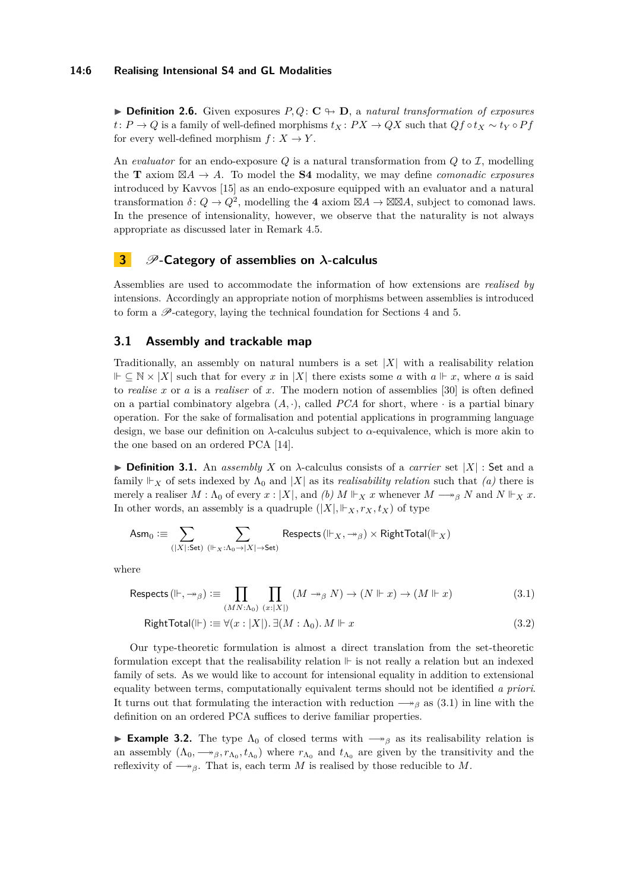#### **14:6 Realising Intensional S4 and GL Modalities**

▶ **Definition 2.6.** Given exposures *P, Q*: **C** ↬ **D**, a *natural transformation of exposures t*:  $P \rightarrow Q$  is a family of well-defined morphisms  $t_X$ :  $PX \rightarrow QX$  such that  $Qf \circ t_X \sim t_Y \circ Pf$ for every well-defined morphism  $f: X \to Y$ .

An *evaluator* for an endo-exposure  $Q$  is a natural transformation from  $Q$  to  $\mathcal{I}$ , modelling the **T** axiom  $\boxtimes A \rightarrow A$ . To model the **S4** modality, we may define *comonadic exposures* introduced by Kavvos [\[15\]](#page-16-5) as an endo-exposure equipped with an evaluator and a natural transformation  $\delta: Q \to Q^2$ , modelling the 4 axiom  $\boxtimes A \to \boxtimes \boxtimes A$ , subject to comonad laws. In the presence of intensionality, however, we observe that the naturality is not always appropriate as discussed later in Remark [4.5.](#page-9-0)

# <span id="page-5-0"></span>**3** *P*-Category of assemblies on *λ*-calculus

Assemblies are used to accommodate the information of how extensions are *realised by* intensions. Accordingly an appropriate notion of morphisms between assemblies is introduced to form a P-category, laying the technical foundation for Sections [4](#page-8-0) and [5.](#page-10-0)

# **3.1 Assembly and trackable map**

Traditionally, an assembly on natural numbers is a set  $|X|$  with a realisability relation  $⊩ ⊂ N × |X|$  such that for every *x* in |X| there exists some *a* with  $a ⊢ x$ , where *a* is said to *realise x* or *a* is a *realiser* of *x*. The modern notion of assemblies [\[30\]](#page-16-13) is often defined on a partial combinatory algebra  $(A, \cdot)$ , called *PCA* for short, where  $\cdot$  is a partial binary operation. For the sake of formalisation and potential applications in programming language design, we base our definition on *λ*-calculus subject to *α*-equivalence, which is more akin to the one based on an ordered PCA [\[14\]](#page-15-8).

 $\triangleright$  **Definition 3.1.** An *assembly X* on *λ*-calculus consists of a *carrier* set  $|X|$  : Set and a family  $\Vdash_X$  of sets indexed by  $\Lambda_0$  and  $|X|$  as its *realisability relation* such that *(a)* there is merely a realiser  $M : \Lambda_0$  of every  $x : |X|$ , and  $(b)$   $M \Vdash_X x$  whenever  $M \longrightarrow_{\beta} N$  and  $N \Vdash_X x$ . In other words, an assembly is a quadruple  $(|X|, \Vdash_X, r_X, t_X)$  of type

$$
\mathsf{Asm}_0 \vcentcolon\equiv \sum_{(|X|:\mathsf{Set})\ (\Vdash_X: \Lambda_0 \to |X| \to \mathsf{Set})} \mathsf{Responsets}\left(\Vdash_X, \twoheadrightarrow_{\beta}\right) \times \mathsf{RightTotal}(\Vdash_X)
$$

where

$$
\text{Respects} \left( \Vdash, \twoheadrightarrow_{\beta} \right) := \prod_{(MN:\Lambda_0)} \prod_{(x:|X|)} (M \twoheadrightarrow_{\beta} N) \to (N \Vdash x) \to (M \Vdash x)
$$
\n(3.1)

<span id="page-5-1"></span>RightTotal(
$$
\Vdash
$$
) :=  $\forall (x : |X|)$ .  $\exists (M : \Lambda_0)$ .  $M \Vdash x$  (3.2)

Our type-theoretic formulation is almost a direct translation from the set-theoretic formulation except that the realisability relation  $\vdash$  is not really a relation but an indexed family of sets. As we would like to account for intensional equality in addition to extensional equality between terms, computationally equivalent terms should not be identified *a priori*. It turns out that formulating the interaction with reduction  $\rightarrow$ <sub>*β*</sub> as [\(3.1\)](#page-5-1) in line with the definition on an ordered PCA suffices to derive familiar properties.

<span id="page-5-2"></span>**► Example 3.2.** The type  $\Lambda_0$  of closed terms with  $\rightarrow$ <sup>*β*</sup> as its realisability relation is an assembly  $(\Lambda_0, \longrightarrow_\beta, r_{\Lambda_0}, t_{\Lambda_0})$  where  $r_{\Lambda_0}$  and  $t_{\Lambda_0}$  are given by the transitivity and the reflexivity of  $\longrightarrow_{\beta}$ . That is, each term *M* is realised by those reducible to *M*.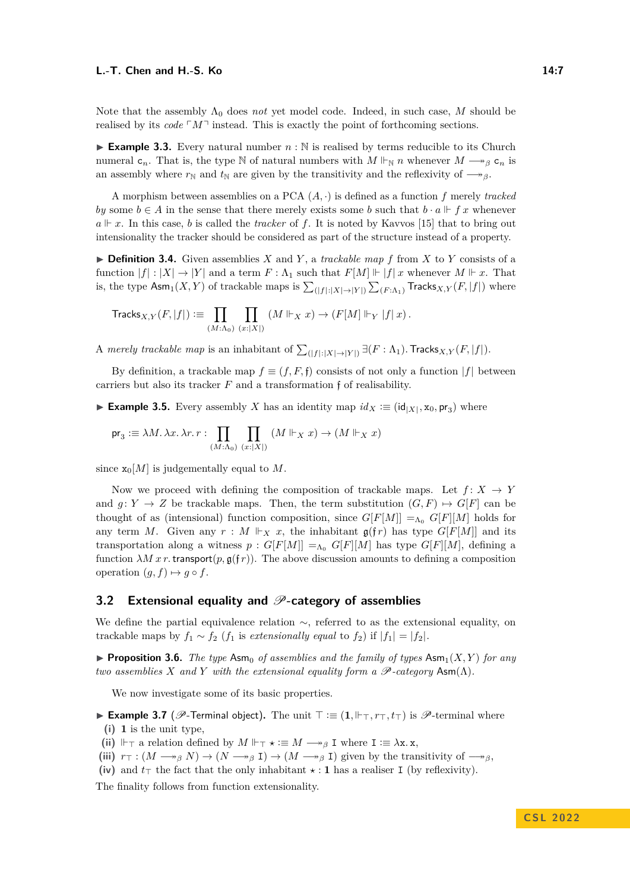Note that the assembly  $\Lambda_0$  does *not* yet model code. Indeed, in such case, M should be realised by its *code*  $\lceil M \rceil$  instead. This is exactly the point of forthcoming sections.

**Example 3.3.** Every natural number  $n : \mathbb{N}$  is realised by terms reducible to its Church numeral  $c_n$ . That is, the type N of natural numbers with  $M \Vdash_{\mathbb{N}} n$  whenever  $M \to_{\beta} c_n$  is an assembly where  $r_N$  and  $t_N$  are given by the transitivity and the reflexivity of  $\rightarrow$ <sup>*β*</sup>.

A morphism between assemblies on a PCA (*A,* ·) is defined as a function *f* merely *tracked by* some  $b \in A$  in the sense that there merely exists some *b* such that  $b \cdot a \Vdash fx$  whenever  $a \Vdash x$ . In this case, *b* is called the *tracker* of *f*. It is noted by Kavvos [\[15\]](#page-16-5) that to bring out intensionality the tracker should be considered as part of the structure instead of a property.

 $\triangleright$  **Definition 3.4.** Given assemblies *X* and *Y*, a *trackable map f* from *X* to *Y* consists of a function  $|f|: |X| \to |Y|$  and a term  $F: \Lambda_1$  such that  $F[M] \Vdash |f|$  *x* whenever  $M \Vdash x$ . That is, the type  $\mathsf{Asm}_1(X, Y)$  of trackable maps is  $\sum_{(|f|:|X|\to|Y|)}\sum_{(F:\Lambda_1)}\mathsf{Tracks}_{X,Y}(F,|f|)$  where

$$
\operatorname{Tracks}_{X,Y}(F,|f|):=\prod_{(M:\Lambda_0)}\prod_{(x:|X|)}(M\Vdash_X x)\to (F[M]\Vdash_Y|f|\,x)\,.
$$

A *merely trackable map* is an inhabitant of  $\sum_{(|f|:|X|\to|Y|)} \exists (F:\Lambda_1)$ . Tracks $_{X,Y}(F,|f|)$ .

By definition, a trackable map  $f \equiv (f, F, \mathfrak{f})$  consists of not only a function  $|f|$  between carriers but also its tracker *F* and a transformation f of realisability.

▶ **Example 3.5.** Every assembly *X* has an identity map  $id_X := (id_{|X|}, x_0, pr_3)$  where

$$
\mathsf{pr}_3 \coloneqq \lambda M. \, \lambda x. \, \lambda r. \, r : \prod_{(M:\Lambda_0)} \prod_{(x : |X|)} (M \Vdash_X x) \to (M \Vdash_X x)
$$

since  $x_0[M]$  is judgementally equal to M.

Now we proceed with defining the composition of trackable maps. Let  $f: X \rightarrow Y$ and  $g: Y \to Z$  be trackable maps. Then, the term substitution  $(G, F) \mapsto G[F]$  can be thought of as (intensional) function composition, since  $G[F|M]] =_{\Lambda_0} G[F|M]$  holds for any term *M*. Given any  $r : M \Vdash_X x$ , the inhabitant  $\mathfrak{g}(\mathfrak{f}r)$  has type  $G[F[M]]$  and its transportation along a witness  $p : G[F[M]] =_{\Lambda_0} G[F][M]$  has type  $G[F][M]$ , defining a function  $\lambda M x r$ . transport $(p, \mathfrak{g}(f r))$ . The above discussion amounts to defining a composition operation  $(g, f) \mapsto g \circ f$ .

### **3.2 Extensional equality and P-category of assemblies**

We define the partial equivalence relation ∼, referred to as the extensional equality, on trackable maps by  $f_1 \sim f_2$  ( $f_1$  is *extensionally equal* to  $f_2$ ) if  $|f_1| = |f_2|$ .

**• Proposition 3.6.** *The type* Asm<sub>0</sub> *of assemblies and the family of types* Asm<sub>1</sub> $(X, Y)$  *for any two assemblies X and Y with the extensional equality form a*  $\mathscr{P}$ -category  $\text{Asm}(\Lambda)$ *.* 

We now investigate some of its basic properties.

▶ **Example 3.7** (P-Terminal object)**.** The unit ⊤ :≡ (**1***,* ⊩⊤*, r*⊤*, t*⊤) is P-terminal where **(i) 1** is the unit type,

- (ii) ⊩<sub>⊤</sub> a relation defined by  $M \Vdash_{\top} \star := M \longrightarrow_{\beta} I$  where  $I := \lambda x \cdot x$ ,
- (iii)  $r_{\top} : (M \rightarrow_B N) \rightarrow (N \rightarrow_B I) \rightarrow (M \rightarrow_B I)$  given by the transitivity of  $\rightarrow_B$ ,
- (iv) and  $t<sub>T</sub>$  the fact that the only inhabitant  $\star : \mathbf{1}$  has a realiser I (by reflexivity).

The finality follows from function extensionality.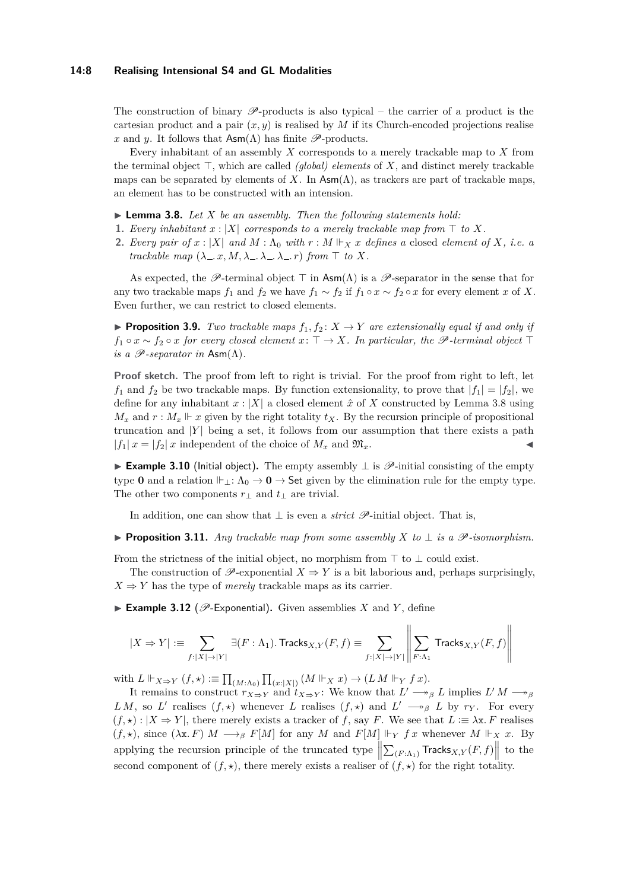#### **14:8 Realising Intensional S4 and GL Modalities**

The construction of binary  $\mathscr{P}$ -products is also typical – the carrier of a product is the cartesian product and a pair  $(x, y)$  is realised by *M* if its Church-encoded projections realised *x* and *y*. It follows that  $\mathsf{Asm}(\Lambda)$  has finite  $\mathscr{P}\text{-products.}$ 

Every inhabitant of an assembly *X* corresponds to a merely trackable map to *X* from the terminal object ⊤, which are called *(global) elements* of *X*, and distinct merely trackable maps can be separated by elements of *X*. In  $\text{Asm}(\Lambda)$ , as trackers are part of trackable maps, an element has to be constructed with an intension.

#### <span id="page-7-0"></span> $\blacktriangleright$  **Lemma 3.8.** Let X be an assembly. Then the following statements hold:

- **1.** *Every inhabitant*  $x : |X|$  *corresponds to a merely trackable map from*  $\top$  *to*  $X$ *.*
- **2.** *Every pair of*  $x : |X|$  *and*  $M : \Lambda_0$  *with*  $r : M \Vdash_X x$  *defines a* closed *element of*  $X$ *, i.e. a trackable map*  $(\lambda_-, x, M, \lambda_-, \lambda_-, x)$  *from*  $\top$  *to*  $X$ *.*

As expected, the P-terminal object  $\top$  in Asm( $\Lambda$ ) is a P-separator in the sense that for any two trackable maps  $f_1$  and  $f_2$  we have  $f_1 \sim f_2$  if  $f_1 \circ x \sim f_2 \circ x$  for every element *x* of *X*. Even further, we can restrict to closed elements.

**• Proposition 3.9.** *Two trackable maps*  $f_1, f_2: X \to Y$  *are extensionally equal if and only if f*<sub>1</sub> ◦ *x* ∼ *f*<sub>2</sub> ◦ *x for every closed element x*:  $\top$  → *X. In particular, the*  $\mathscr{P}$ -terminal object  $\top$ *is a*  $\mathscr{P}$ *-separator in* Asm( $\Lambda$ ).

**Proof sketch.** The proof from left to right is trivial. For the proof from right to left, let  $f_1$  and  $f_2$  be two trackable maps. By function extensionality, to prove that  $|f_1| = |f_2|$ , we define for any inhabitant  $x : |X|$  a closed element  $\hat{x}$  of X constructed by Lemma [3.8](#page-7-0) using  $M_x$  and  $r : M_x \Vdash x$  given by the right totality  $t_X$ . By the recursion principle of propositional truncation and  $|Y|$  being a set, it follows from our assumption that there exists a path  $|f_1| x = |f_2| x$  independent of the choice of  $M_x$  and  $\mathfrak{M}_x$ .

▶ **Example 3.10** (Initial object)**.** The empty assembly ⊥ is P-initial consisting of the empty type **0** and a relation  $\Vdash$ <sub>1</sub>:  $\Lambda_0 \to \mathbf{0} \to$  Set given by the elimination rule for the empty type. The other two components  $r_{\perp}$  and  $t_{\perp}$  are trivial.

In addition, one can show that  $\perp$  is even a *strict*  $\mathscr{P}$ -initial object. That is,

<span id="page-7-1"></span>▶ **Proposition 3.11.** *Any trackable map from some assembly X to* ⊥ *is a* P*-isomorphism.*

From the strictness of the initial object, no morphism from  $\top$  to  $\bot$  could exist.

The construction of  $\mathscr{P}$ -exponential  $X \Rightarrow Y$  is a bit laborious and, perhaps surprisingly,  $X \Rightarrow Y$  has the type of *merely* trackable maps as its carrier.

 $\blacktriangleright$  **Example 3.12** ( $\mathcal{P}$ -Exponential). Given assemblies *X* and *Y*, define

$$
|X \Rightarrow Y| := \sum_{f:|X| \to |Y|} \exists (F: \Lambda_1). \text{Tracks}_{X,Y}(F, f) \equiv \sum_{f:|X| \to |Y|} \left\| \sum_{F: \Lambda_1} \text{Tracks}_{X,Y}(F, f) \right\|
$$

with  $L \Vdash_{X \Rightarrow Y} (f, \star) := \prod_{(M : \Lambda_0)} \prod_{(x : |X|)} (M \Vdash_X x) \to (LM \Vdash_Y fx).$ 

It remains to construct  $r_{X\Rightarrow Y}$  and  $t_{X\Rightarrow Y}$ : We know that  $L' \longrightarrow_{\beta} L$  implies  $L'M \longrightarrow_{\beta} L'$ *LM*, so *L*' realises  $(f, \star)$  whenever *L* realises  $(f, \star)$  and  $L' \longrightarrow_{\beta} L$  by  $r_Y$ . For every  $(f, \star) : |X \to Y|$ , there merely exists a tracker of f, say F. We see that  $L := \lambda x$ . F realises  $(f, \star)$ , since  $(\lambda x. F) M \longrightarrow_{\beta} F[M]$  for any *M* and  $F[M] \Vdash_{Y} f x$  whenever  $M \Vdash_{X} x$ . By applying the recursion principle of the truncated type  $\left\| \sum_{(F:\Lambda_1)} \text{Tracks}_{X,Y}(F,f) \right\|$  to the second component of  $(f, \star)$ , there merely exists a realiser of  $(f, \star)$  for the right totality.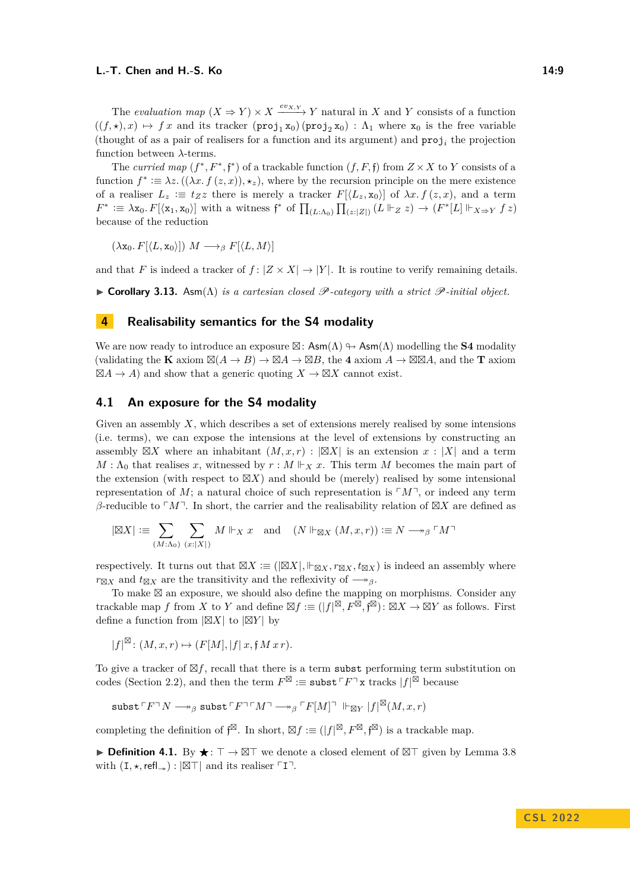The *evaluation map*  $(X \Rightarrow Y) \times X \xrightarrow{ev_{X,Y}} Y$  natural in *X* and *Y* consists of a function  $((f, \star), x) \mapsto fx$  and its tracker  $(proj_1 x_0)(proj_2 x_0)$ :  $\Lambda_1$  where  $x_0$  is the free variable (thought of as a pair of realisers for a function and its argument) and  $proj<sub>i</sub>$  the projection function between *λ*-terms.

The *curried map*  $(f^*, F^*, f^*)$  of a trackable function  $(f, F, f)$  from  $Z \times X$  to Y consists of a function  $f^* := \lambda z \cdot ((\lambda x \cdot f(z, x)), \star_z)$ , where by the recursion principle on the mere existence of a realiser  $L_z \equiv t_z z$  there is merely a tracker  $F[(L_z, \mathbf{x}_0)]$  of  $\lambda x. f(z, x)$ , and a term  $F^* := \lambda x_0 \cdot F[\langle x_1, x_0 \rangle]$  with a witness  $f^*$  of  $\prod_{(L:\Lambda_0)} \prod_{(z:|Z|)} (L \Vdash_Z z) \to (F^*[L] \Vdash_{X \Rightarrow Y} f z)$ because of the reduction

 $(\lambda \mathbf{x}_0, F[\langle L, \mathbf{x}_0 \rangle]) M \longrightarrow_\beta F[\langle L, M \rangle]$ 

and that *F* is indeed a tracker of  $f: |Z \times X| \rightarrow |Y|$ . It is routine to verify remaining details.

▶ **Corollary 3.13.** Asm(Λ) *is a cartesian closed* P*-category with a strict* P*-initial object.*

# <span id="page-8-0"></span>**4 Realisability semantics for the S4 modality**

We are now ready to introduce an exposure  $\boxtimes$ : Asm( $\Lambda$ )  $\leftrightarrow$  Asm( $\Lambda$ ) modelling the **S4** modality (validating the **K** axiom  $\mathbb{Z}(A \to B) \to \mathbb{Z}A \to \mathbb{Z}B$ , the 4 axiom  $A \to \mathbb{Z} \mathbb{Z}A$ , and the **T** axiom  $\boxtimes A \to A$ ) and show that a generic quoting  $X \to \boxtimes X$  cannot exist.

### **4.1 An exposure for the S4 modality**

Given an assembly *X*, which describes a set of extensions merely realised by some intensions (i.e. terms), we can expose the intensions at the level of extensions by constructing an assembly  $\boxtimes X$  where an inhabitant  $(M, x, r)$  :  $|\boxtimes X|$  is an extension  $x : |X|$  and a term  $M : \Lambda_0$  that realises *x*, witnessed by  $r : M \Vdash_X x$ . This term *M* becomes the main part of the extension (with respect to  $\boxtimes X$ ) and should be (merely) realised by some intensional representation of  $M$ ; a natural choice of such representation is  $\lceil M \rceil$ , or indeed any term *β*-reducible to └*M*  $\Box$ . In short, the carrier and the realisability relation of ⊠*X* are defined as

$$
|\boxtimes X| := \sum_{(M:\Lambda_0)} \sum_{(x:|X|)} M \Vdash_X x \text{ and } (N \Vdash_{\boxtimes X} (M,x,r)) := N \longrightarrow_{\beta} \ulcorner M \urcorner
$$

respectively. It turns out that  $\boxtimes X := (|\boxtimes X|, \Vdash_{\boxtimes X}, r_{\boxtimes X}, t_{\boxtimes X})$  is indeed an assembly where  $r_{\boxtimes X}$  and  $t_{\boxtimes X}$  are the transitivity and the reflexivity of  $\longrightarrow$ <sup>*β*</sup>.

To make ⊠ an exposure, we should also define the mapping on morphisms. Consider any trackable map *f* from *X* to *Y* and define  $\mathbb{Z}f := (|f|^{\mathbb{Z}}, F^{\mathbb{Z}}, \mathfrak{f}^{\mathbb{Z}}): \mathbb{Z}X \to \mathbb{Z}Y$  as follows. First define a function from |⊠*X*| to |⊠*Y* | by

 $|f|^{\boxtimes}$ :  $(M, x, r) \mapsto (F[M], |f| x, \mathfrak{f} M x r)$ .

To give a tracker of ⊠*f*, recall that there is a term subst performing term substitution on codes (Section [2.2\)](#page-3-0), and then the term  $F^{\boxtimes} \equiv \texttt{subst} \ulcorner F \urcorner \texttt{x}$  tracks  $|f|^{\boxtimes}$  because

$$
\mathbf{subst} \ulcorner F \urcorner N \longrightarrow_{\beta} \mathbf{subst} \ulcorner F \urcorner \ulcorner M \urcorner \longrightarrow_{\beta} \ulcorner F[M] \urcorner \Vdash_{\boxtimes Y} |f|^{\boxtimes}(M,x,r)
$$

completing the definition of  $\mathfrak{f}^{\boxtimes}$ . In short,  $\boxtimes f := (|f|^{\boxtimes}, F^{\boxtimes}, \mathfrak{f}^{\boxtimes})$  is a trackable map.

**► Definition 4.1.** By  $\star$ : ⊤ → ⊠⊤ we denote a closed element of ⊠⊤ given by Lemma [3.8](#page-7-0) with  $(I, \star, \text{refl}_\rightarrow)$ :  $|\boxtimes\top|$  and its realiser  $\ulcorner I\urcorner$ .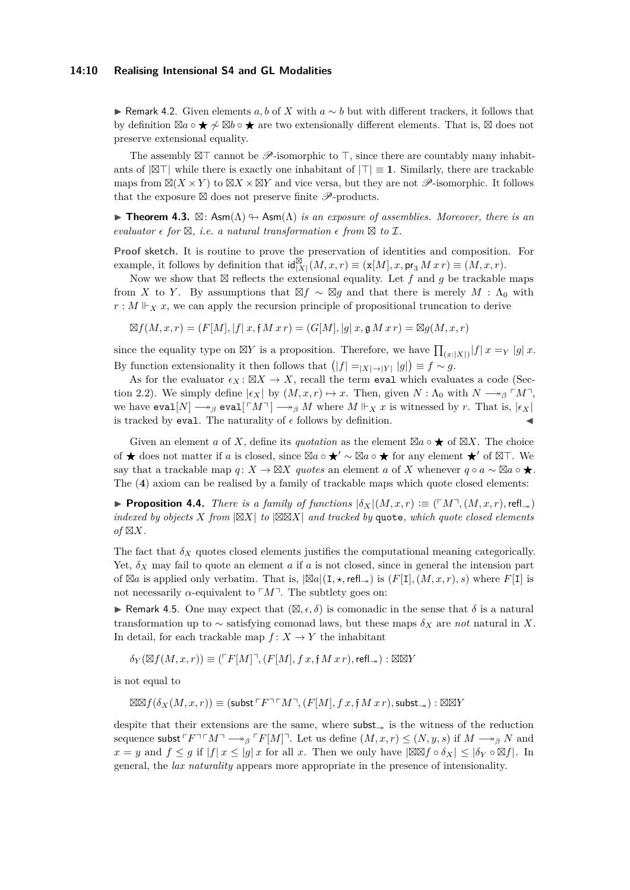#### **14:10 Realising Intensional S4 and GL Modalities**

▶ Remark 4.2. Given elements *a, b* of *X* with *a* ∼ *b* but with different trackers, it follows that by definition ⊠*a* ◦ ⋆ ̸∼ ⊠*b* ◦ ⋆ are two extensionally different elements. That is, ⊠ does not preserve extensional equality.

The assembly ⊠⊤ cannot be  $\mathscr{P}$ -isomorphic to ⊤, since there are countably many inhabitants of |⊠⊤| while there is exactly one inhabitant of |⊤| ≡ **1**. Similarly, there are trackable maps from  $\mathbb{Z}(X \times Y)$  to  $\mathbb{Z}X \times \mathbb{Z}Y$  and vice versa, but they are not  $\mathscr{P}$ -isomorphic. It follows that the exposure  $\boxtimes$  does not preserve finite  $\mathscr{P}\text{-products.}$ 

<span id="page-9-1"></span>**• Theorem 4.3.**  $\boxtimes$ : Asm( $\Lambda$ )  $\leftrightarrow$  Asm( $\Lambda$ ) *is an exposure of assemblies. Moreover, there is an*  $e$ *valuator*  $\epsilon$  *for*  $\boxtimes$ *, i.e.* a natural transformation  $\epsilon$  *from*  $\boxtimes$  *to*  $\mathcal{I}$ *.* 

**Proof sketch.** It is routine to prove the preservation of identities and composition. For example, it follows by definition that  $\text{id}_{[X]}^{\boxtimes}(M, x, r) \equiv (\textbf{x}[M], x, \textbf{pr}_3 M x r) \equiv (M, x, r)$ .

Now we show that  $\boxtimes$  reflects the extensional equality. Let *f* and *g* be trackable maps from *X* to *Y*. By assumptions that  $\boxtimes f \sim \boxtimes g$  and that there is merely *M* :  $\Lambda_0$  with  $r : M \Vdash_X x$ , we can apply the recursion principle of propositional truncation to derive

⊠*f*(*M, x, r*) = (*F*[*M*]*,* |*f*| *x,* f *M x r*) = (*G*[*M*]*,* |*g*| *x,* g *M x r*) = ⊠*g*(*M, x, r*)

since the equality type on  $\boxtimes Y$  is a proposition. Therefore, we have  $\prod_{(x:|X|)} |f| x =_Y |g| x$ . By function extensionality it then follows that  $(|f| = |X| \rightarrow |Y| |g|) \equiv f \sim g$ .

As for the evaluator  $\epsilon_X : \boxtimes X \to X$ , recall the term evaluation evaluates a code (Sec-tion [2.2\)](#page-3-0). We simply define  $|\epsilon_X|$  by  $(M, x, r) \mapsto x$ . Then, given  $N : \Lambda_0$  with  $N \longrightarrow_\beta \ulcorner M \urcorner$ , we have eval $[N] \longrightarrow_{\beta}$  eval $\lceil M \rceil \longrightarrow_{\beta} M$  where  $M \Vdash_X x$  is witnessed by *r*. That is,  $|\epsilon_X|$ is tracked by eval. The naturality of  $\epsilon$  follows by definition.

Given an element *a* of *X*, define its *quotation* as the element  $\boxtimes a \bullet \bigstar$  of  $\boxtimes X$ . The choice of **★** does not matter if *a* is closed, since  $\boxtimes a \circ \star' \sim \boxtimes a \circ \star$  for any element  $\star'$  of  $\boxtimes$ ⊤. We say that a trackable map  $q: X \to \boxtimes X$  *quotes* an element *a* of *X* whenever  $q \circ a \sim \boxtimes a \circ \bigstar$ . The (**4**) axiom can be realised by a family of trackable maps which quote closed elements:

▶ **Proposition 4.4.** *There is a family of functions*  $|\delta_X|(M, x, r) := (\ulcorner M \urcorner, (M, x, r), \text{refl}_\rightarrow)$ *indexed by objects X from* |⊠*X*| *to* |⊠⊠*X*| *and tracked by* quote*, which quote closed elements of* ⊠*X.*

The fact that  $\delta_X$  quotes closed elements justifies the computational meaning categorically. Yet,  $\delta_X$  may fail to quote an element *a* if *a* is not closed, since in general the intension part of  $\boxtimes a$  is applied only verbatim. That is,  $|\boxtimes a|(I, \star, \text{refl}_*)$  is  $(F[I], (M, x, r), s)$  where  $F[I]$  is not necessarily  $\alpha$ -equivalent to  $\lceil M \rceil$ . The subtlety goes on:

<span id="page-9-0"></span>**► Remark 4.5.** One may expect that  $(\mathbb{Z}, \epsilon, \delta)$  is comonadic in the sense that  $\delta$  is a natural transformation up to ∼ satisfying comonad laws, but these maps *δ<sup>X</sup>* are *not* natural in *X*. In detail, for each trackable map  $f: X \to Y$  the inhabitant

$$
\delta_Y(\boxtimes f(M,x,r))\equiv (\ulcorner F[M]\urcorner,(F[M],f\,x,\mathfrak{f}\,M\,x\,r),\mathsf{refl}_\twoheadrightarrow):\boxtimes\boxtimes Y
$$

is not equal to

$$
\boxtimes\boxtimes f(\delta_X(M,x,r))\equiv(\text{subst}^{\top}F^{\top\top}M^{\top},(F[M],f\,x,\mathfrak{f}\,M\,x\,r),\text{subst}\_+)\,\colon\boxtimes\boxtimes Y
$$

despite that their extensions are the same, where  $\textsf{subst}_{\rightarrow}$  is the witness of the reduction sequence subst  $\ulcorner F\urcorner\ulcorner M\urcorner \longrightarrow_{\beta} \ulcorner F[M]\urcorner$ . Let us define  $(M, x, r) \leq (N, y, s)$  if  $M \longrightarrow_{\beta} N$  and *x* = *y* and *f* ≤ *g* if |*f*| *x* ≤ |*g*| *x* for all *x*. Then we only have |⊠⊠*f* ◦ *δX*| ≤ |*δ<sup>Y</sup>* ◦ ⊠*f*|. In general, the *lax naturality* appears more appropriate in the presence of intensionality.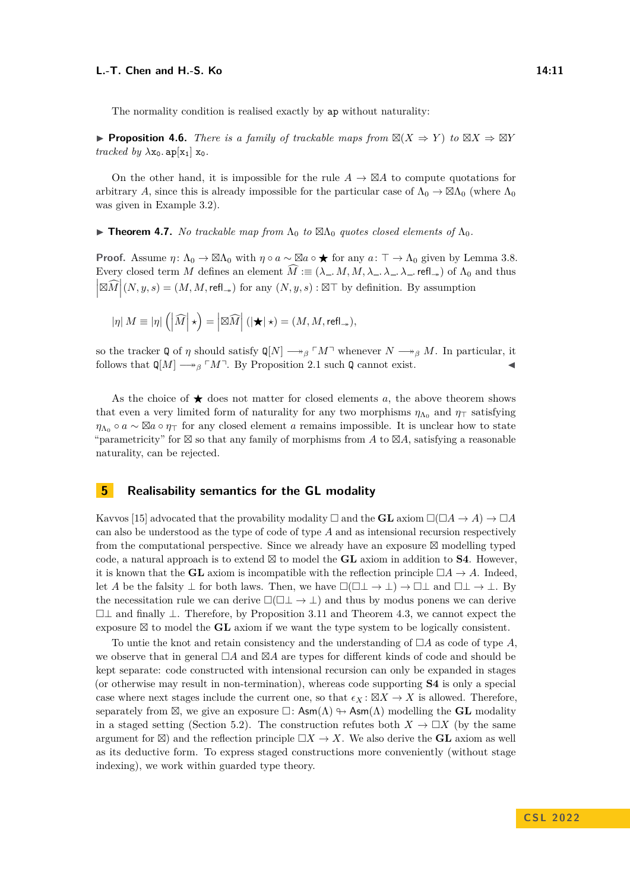The normality condition is realised exactly by ap without naturality:

▶ **Proposition 4.6.** *There is a family of trackable maps from*  $\mathbb{Z}(X \Rightarrow Y)$  *to*  $\mathbb{Z}X \Rightarrow \mathbb{Z}Y$ *tracked by*  $\lambda$ x<sub>0</sub>. ap[x<sub>1</sub>] x<sub>0</sub>.

On the other hand, it is impossible for the rule  $A \to \boxtimes A$  to compute quotations for arbitrary *A*, since this is already impossible for the particular case of  $\Lambda_0 \to \boxtimes \Lambda_0$  (where  $\Lambda_0$ was given in Example [3.2\)](#page-5-2).

<span id="page-10-1"></span>**► Theorem 4.7.** *No trackable map from*  $\Lambda_0$  *to*  $\boxtimes \Lambda_0$  *quotes closed elements of*  $\Lambda_0$ *.* 

**Proof.** Assume  $\eta: \Lambda_0 \to \boxtimes \Lambda_0$  with  $\eta \circ a \sim \boxtimes a \circ \star$  for any  $a: \top \to \Lambda_0$  given by Lemma [3.8.](#page-7-0) Every closed term *M* defines an element  $\widehat{M} \equiv (\lambda_-, M, M, \lambda_-, \lambda_-, \lambda_-, \text{refl}_*)$  of  $\Lambda_0$  and thus  $\left|\mathbb{\boxtimes} \widehat{M}\right|(N, y, s) = (M, M, \mathsf{refl}_\rightarrow)$  for any  $(N, y, s) : \boxtimes \top$  by definition. By assumption

$$
|\eta| M \equiv |\eta| \left( \left| \widehat{M} \right| \star \right) = \left| \boxtimes \widehat{M} \right| ( \left| \bigstar \right| \star ) = (M, M, \mathsf{refl}_\rightarrow),
$$

so the tracker Q of *η* should satisfy  $\mathbb{Q}[N] \longrightarrow_{\beta} \ulcorner M \urcorner$  whenever  $N \longrightarrow_{\beta} M$ . In particular, it follows that  $\mathbb{Q}[M] \longrightarrow_{\beta} \ulcorner M \urcorner$ . By Proposition [2.1](#page-3-1) such  $\mathbb{Q}$  cannot exist.

As the choice of  $\star$  does not matter for closed elements *a*, the above theorem shows that even a very limited form of naturality for any two morphisms  $\eta_{\Lambda_0}$  and  $\eta_{\top}$  satisfying  $\eta_{\Lambda_0} \circ a \sim \boxtimes a \circ \eta$ <sub>T</sub> for any closed element *a* remains impossible. It is unclear how to state "parametricity" for ⊠ so that any family of morphisms from *A* to ⊠*A*, satisfying a reasonable naturality, can be rejected.

# <span id="page-10-0"></span>**5 Realisability semantics for the GL modality**

Kavvos [\[15\]](#page-16-5) advocated that the provability modality  $\Box$  and the **GL** axiom  $\Box(\Box A \rightarrow A) \rightarrow \Box A$ can also be understood as the type of code of type *A* and as intensional recursion respectively from the computational perspective. Since we already have an exposure ⊠ modelling typed code, a natural approach is to extend  $\boxtimes$  to model the **GL** axiom in addition to **S4**. However, it is known that the **GL** axiom is incompatible with the reflection principle  $\Box A \rightarrow A$ . Indeed, let *A* be the falsity  $\perp$  for both laws. Then, we have  $\Box(\Box \perp \rightarrow \bot) \rightarrow \Box \perp$  and  $\Box \perp \rightarrow \bot$ . By the necessitation rule we can derive  $\Box(\Box \bot \rightarrow \bot)$  and thus by modus ponens we can derive □⊥ and finally ⊥. Therefore, by Proposition [3.11](#page-7-1) and Theorem [4.3,](#page-9-1) we cannot expect the exposure ⊠ to model the **GL** axiom if we want the type system to be logically consistent.

To untie the knot and retain consistency and the understanding of □*A* as code of type *A*, we observe that in general □*A* and ⊠*A* are types for different kinds of code and should be kept separate: code constructed with intensional recursion can only be expanded in stages (or otherwise may result in non-termination), whereas code supporting **S4** is only a special case where next stages include the current one, so that  $\epsilon_X : \boxtimes X \to X$  is allowed. Therefore, separately from  $\boxtimes$ , we give an exposure  $\square$ :  $\mathsf{Asm}(\Lambda) \leftrightarrow \mathsf{Asm}(\Lambda)$  modelling the **GL** modality in a staged setting (Section [5.2\)](#page-12-0). The construction refutes both  $X \to \Box X$  (by the same argument for  $\boxtimes$ ) and the reflection principle  $\Box X \to X$ . We also derive the **GL** axiom as well as its deductive form. To express staged constructions more conveniently (without stage indexing), we work within guarded type theory.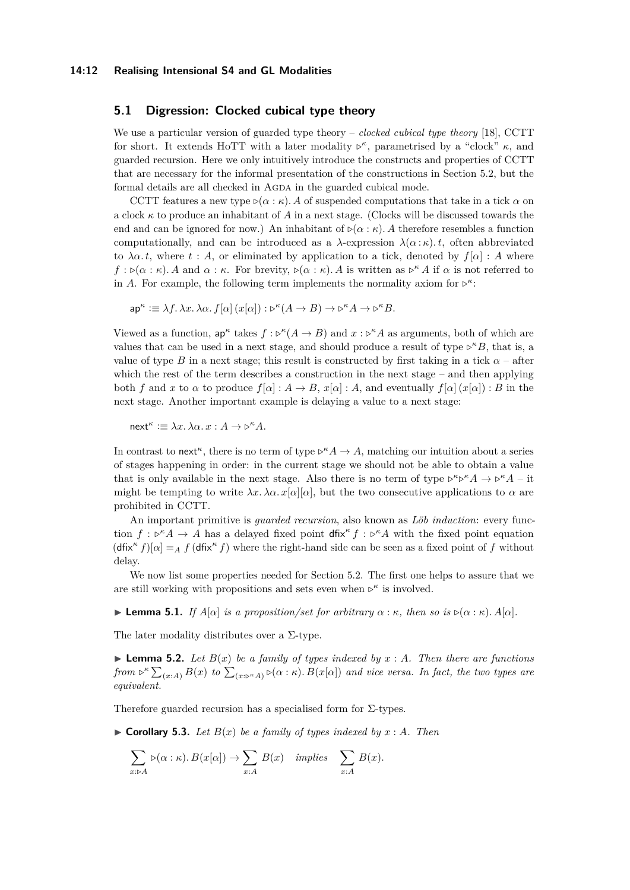#### **14:12 Realising Intensional S4 and GL Modalities**

# **5.1 Digression: Clocked cubical type theory**

We use a particular version of guarded type theory – *clocked cubical type theory* [\[18\]](#page-16-10), CCTT for short. It extends HoTT with a later modality  $\nu^{\kappa}$ , parametrised by a "clock"  $\kappa$ , and guarded recursion. Here we only intuitively introduce the constructs and properties of CCTT that are necessary for the informal presentation of the constructions in Section [5.2,](#page-12-0) but the formal details are all checked in AGDA in the guarded cubical mode.

CCTT features a new type  $\triangleright (\alpha : \kappa)$ . A of suspended computations that take in a tick  $\alpha$  on a clock  $\kappa$  to produce an inhabitant of A in a next stage. (Clocks will be discussed towards the end and can be ignored for now.) An inhabitant of  $\rho(\alpha : \kappa)$ . A therefore resembles a function computationally, and can be introduced as a  $\lambda$ -expression  $\lambda(\alpha:\kappa)$ *t*, often abbreviated to  $\lambda \alpha$ . t, where t: A, or eliminated by application to a tick, denoted by  $f[\alpha]$ : A where  $f : \mathcal{D}(\alpha : \kappa)$ . A and  $\alpha : \kappa$ . For brevity,  $\mathcal{D}(\alpha : \kappa)$ . A is written as  $\mathcal{D}^{\kappa} A$  if  $\alpha$  is not referred to in *A*. For example, the following term implements the normality axiom for  $\nu^k$ :

 $\mathsf{ap}^{\kappa} \coloneqq \lambda f \cdot \lambda x \cdot \lambda \alpha \cdot f[\alpha](x[\alpha]) : \mathsf{D}^{\kappa}(A \to B) \to \mathsf{D}^{\kappa} A \to \mathsf{D}^{\kappa} B.$ 

Viewed as a function,  $ap^{\kappa}$  takes  $f : \triangleright^{\kappa} (A \to B)$  and  $x : \triangleright^{\kappa} A$  as arguments, both of which are values that can be used in a next stage, and should produce a result of type  $\triangleright^{\kappa}B$ , that is, a value of type *B* in a next stage; this result is constructed by first taking in a tick  $\alpha$  – after which the rest of the term describes a construction in the next stage – and then applying both *f* and *x* to *α* to produce  $f[\alpha] : A \to B$ ,  $x[\alpha] : A$ , and eventually  $f[\alpha](x[\alpha]) : B$  in the next stage. Another important example is delaying a value to a next stage:

 $next^{\kappa} := \lambda x.\, \lambda \alpha.\, x:A \to \triangleright^{\kappa} A.$ 

In contrast to next<sup>*κ*</sup>, there is no term of type  $\triangleright^{\kappa} A \to A$ , matching our intuition about a series of stages happening in order: in the current stage we should not be able to obtain a value that is only available in the next stage. Also there is no term of type  $\triangleright^{\kappa} \triangleright^{\kappa} A \to \triangleright^{\kappa} A - \text{it}$ might be tempting to write  $\lambda x.\lambda \alpha.x[\alpha][\alpha]$ , but the two consecutive applications to  $\alpha$  are prohibited in CCTT.

An important primitive is *guarded recursion*, also known as *Löb induction*: every function  $f: \mathcal{P}^k A \to A$  has a delayed fixed point dfix<sup>*k*</sup>  $f: \mathcal{P}^k A$  with the fixed point equation  $(\text{dfix}^{\kappa} f)[\alpha] =_A f(\text{dfix}^{\kappa} f)$  where the right-hand side can be seen as a fixed point of *f* without delay.

We now list some properties needed for Section [5.2.](#page-12-0) The first one helps to assure that we are still working with propositions and sets even when  $\triangleright^{\kappa}$  is involved.

 $\blacktriangleright$  **Lemma 5.1.** *If*  $A[\alpha]$  *is a proposition/set for arbitrary*  $\alpha$  :  $\kappa$ *, then so is*  $\triangleright (\alpha : \kappa)$ *.*  $A[\alpha]$ *.* 

<span id="page-11-0"></span>The later modality distributes over a  $\Sigma$ -type.

 $\blacktriangleright$  **Lemma 5.2.** Let  $B(x)$  be a family of types indexed by  $x : A$ . Then there are functions from  $\rhd^{\kappa} \sum_{(x:A)} B(x)$  to  $\sum_{(x:\rhd^{\kappa} A)} \triangleright (\alpha:\kappa)$ .  $B(x[\alpha])$  and vice versa. In fact, the two types are *equivalent.*

<span id="page-11-1"></span>Therefore guarded recursion has a specialised form for  $\Sigma$ -types.

 $\triangleright$  **Corollary 5.3.** Let  $B(x)$  be a family of types indexed by  $x : A$ . Then

$$
\sum_{x:\triangleright A} \triangleright(\alpha:\kappa). B(x[\alpha]) \to \sum_{x:A} B(x) \quad implies \quad \sum_{x:A} B(x).
$$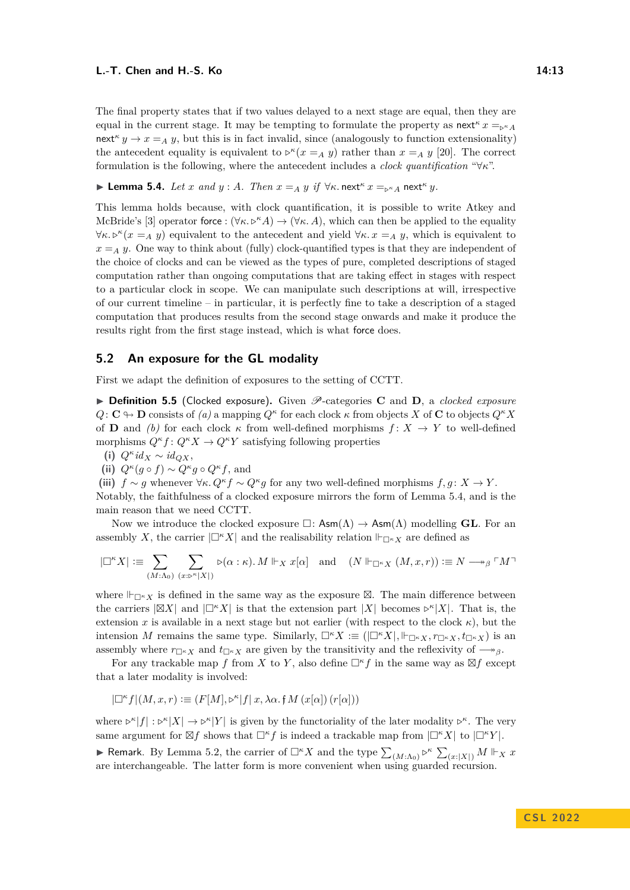The final property states that if two values delayed to a next stage are equal, then they are equal in the current stage. It may be tempting to formulate the property as next<sup> $\kappa$ </sup>  $x =_{\kappa^k A}$ next<sup> $\kappa$ </sup>  $y \to x = A$  *y*, but this is in fact invalid, since (analogously to function extensionality) the antecedent equality is equivalent to  $\nu^k(x = A \, y)$  rather than  $x = A \, y$  [\[20\]](#page-16-14). The correct formulation is the following, where the antecedent includes a *clock quantification* "∀*κ*".

<span id="page-12-1"></span>▶ **Lemma 5.4.** *Let x and*  $y$  : *A. Then*  $x = A$  *y if*  $\forall \kappa$ *.* next<sup> $\kappa$ </sup>  $x =_{\kappa A}$  next<sup> $\kappa$ </sup>  $y$ *.* 

This lemma holds because, with clock quantification, it is possible to write Atkey and McBride's [\[3\]](#page-15-9) operator force :  $(\forall \kappa.\mathcal{P}^k A) \rightarrow (\forall \kappa.\ A)$ , which can then be applied to the equality  $\forall \kappa. \triangleright^{\kappa} (x = A \ y)$  equivalent to the antecedent and yield  $\forall \kappa. x = A \ y$ , which is equivalent to  $x = A$  *y*. One way to think about (fully) clock-quantified types is that they are independent of the choice of clocks and can be viewed as the types of pure, completed descriptions of staged computation rather than ongoing computations that are taking effect in stages with respect to a particular clock in scope. We can manipulate such descriptions at will, irrespective of our current timeline – in particular, it is perfectly fine to take a description of a staged computation that produces results from the second stage onwards and make it produce the results right from the first stage instead, which is what force does.

### <span id="page-12-0"></span>**5.2 An exposure for the GL modality**

First we adapt the definition of exposures to the setting of CCTT.

▶ **Definition 5.5** (Clocked exposure). Given  $\mathcal{P}$ -categories **C** and **D**, a *clocked exposure*  $Q: \mathbb{C} \oplus \mathbb{D}$  consists of  $(a)$  a mapping  $Q^{\kappa}$  for each clock  $\kappa$  from objects *X* of **C** to objects  $Q^{\kappa} X$ of **D** and *(b)* for each clock  $\kappa$  from well-defined morphisms  $f: X \to Y$  to well-defined morphisms  $Q^{\kappa}f: Q^{\kappa}X \to Q^{\kappa}Y$  satisfying following properties

**(i)** *Q<sup>κ</sup> id<sup>X</sup>* ∼ *idQX*,

(ii) 
$$
Q^{\kappa}(g \circ f) \sim Q^{\kappa}g \circ Q^{\kappa}f
$$
, and

(iii)  $f \sim g$  whenever  $\forall \kappa$ .  $Q^{\kappa} f \sim Q^{\kappa} g$  for any two well-defined morphisms  $f, g \colon X \to Y$ .

Notably, the faithfulness of a clocked exposure mirrors the form of Lemma [5.4,](#page-12-1) and is the main reason that we need CCTT.

Now we introduce the clocked exposure  $\square$ :  $\mathsf{Asm}(\Lambda) \to \mathsf{Asm}(\Lambda)$  modelling **GL**. For an assembly *X*, the carrier  $|\Box^k X|$  and the realisability relation  $\Vdash_{\Box^k X}$  are defined as

$$
|\Box^{\kappa} X| := \sum_{(M:\Lambda_0)} \sum_{(x: \mathfrak{b}^{\kappa} |X|)} \mathfrak{b}(\alpha : \kappa) .\, M \Vdash_X x[\alpha] \quad \text{and} \quad (N \Vdash_{\Box^{\kappa} X} (M, x, r)) := N \longrightarrow_{\beta} \ulcorner M \urcorner
$$

where  $\Vdash_{\Box^k X}$  is defined in the same way as the exposure  $\boxtimes$ . The main difference between the carriers  $|\boxtimes X|$  and  $|\Box^k X|$  is that the extension part  $|X|$  becomes  $\triangleright^k |X|$ . That is, the extension *x* is available in a next stage but not earlier (with respect to the clock  $\kappa$ ), but the intension *M* remains the same type. Similarly,  $\Box^{\kappa} X := (|\Box^{\kappa} X|, \Vert_{\Box^{\kappa} X}, \tau_{\Box^{\kappa} X}, t_{\Box^{\kappa} X})$  is an assembly where  $r_{\Box K}$  and  $t_{\Box K}$  are given by the transitivity and the reflexivity of  $\longrightarrow$ <sup>*β*</sup>.

For any trackable map *f* from *X* to *Y*, also define  $\Box^k f$  in the same way as  $\boxtimes f$  except that a later modality is involved:

$$
|\Box^{\kappa} f|(M,x,r) :\equiv (F[M], \rhd^{\kappa} |f| \;x, \lambda\alpha. \; \mathfrak{f}\, M\left(x[\alpha]\right)(r[\alpha]))
$$

where  $\triangleright^{\kappa} |f| : \triangleright^{\kappa} |X| \to \triangleright^{\kappa} |Y|$  is given by the functoriality of the later modality  $\triangleright^{\kappa}$ . The very same argument for  $\boxtimes f$  shows that  $\square^{\kappa} f$  is indeed a trackable map from  $\square^{\kappa} X \mid$  to  $\square^{\kappa} Y \mid$ .

▶ Remark. By Lemma [5.2,](#page-11-0) the carrier of  $\Box^{\kappa} X$  and the type  $\sum_{(M:\Lambda_0)} \triangleright^{\kappa} \sum_{(x:\vert X\vert)} M \Vdash_X x$ are interchangeable. The latter form is more convenient when using guarded recursion.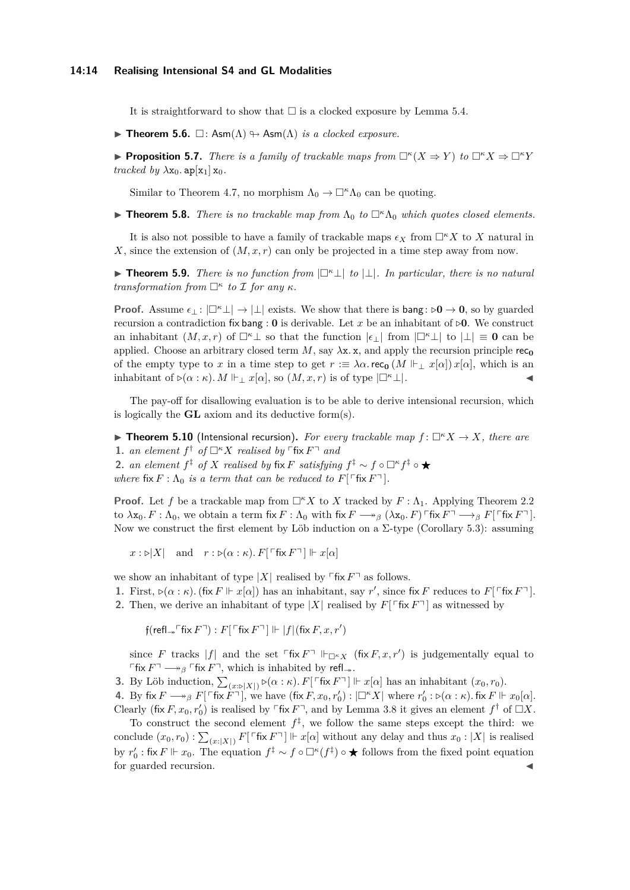#### **14:14 Realising Intensional S4 and GL Modalities**

It is straightforward to show that  $\square$  is a clocked exposure by Lemma [5.4.](#page-12-1)

 $\blacktriangleright$  **Theorem 5.6.**  $\Box$ : Asm( $\Lambda$ )  $\Leftrightarrow$  Asm( $\Lambda$ ) *is a clocked exposure.* 

**• Proposition 5.7.** *There is a family of trackable maps from*  $\Box^{\kappa}(X \Rightarrow Y)$  *to*  $\Box^{\kappa}X \Rightarrow \Box^{\kappa}Y$ *tracked by*  $\lambda$ x<sub>0</sub>. ap[x<sub>1</sub>] x<sub>0</sub>.

Similar to Theorem [4.7,](#page-10-1) no morphism  $\Lambda_0 \to \Box^k \Lambda_0$  can be quoting.

 $\triangleright$  **Theorem 5.8.** *There is no trackable map from*  $\Lambda_0$  *to*  $\Box^{\kappa}\Lambda_0$  *which quotes closed elements.* 

It is also not possible to have a family of trackable maps  $\epsilon_X$  from  $\Box^k X$  to X natural in *X*, since the extension of (*M, x, r*) can only be projected in a time step away from now.

▶ **Theorem 5.9.** *There is no function from* |□*<sup>κ</sup>*⊥| *to* |⊥|*. In particular, there is no natural transformation from*  $\Box^{\kappa}$  *to*  $\mathcal I$  *for any*  $\kappa$ *.* 

**Proof.** Assume  $\epsilon_1 : |\mathbb{Z}^k \mathbb{L}| \to |\mathbb{L}|$  exists. We show that there is bang:  $\triangleright 0 \to 0$ , so by guarded recursion a contradiction fix bang :  $\bf{0}$  is derivable. Let *x* be an inhabitant of  $\triangleright$ **0**. We construct an inhabitant  $(M, x, r)$  of  $\Box^k \bot$  so that the function  $|\epsilon|$  from  $|\Box^k \bot|$  to  $|\bot| \equiv 0$  can be applied. Choose an arbitrary closed term  $M$ , say  $\lambda$ x. x, and apply the recursion principle rec<sub>0</sub> of the empty type to *x* in a time step to get  $r := \lambda \alpha$ . rec<sub>0</sub>  $(M \Vdash \neg x[\alpha]) x[\alpha]$ , which is an inhabitant of  $\rhd(\alpha : \kappa)$ . M  $\Vdash_{\perp} x[\alpha]$ , so  $(M, x, r)$  is of type  $|\square^{\kappa} \perp|$ .

The pay-off for disallowing evaluation is to be able to derive intensional recursion, which is logically the **GL** axiom and its deductive form(s).

<span id="page-13-0"></span> $\blacktriangleright$  **Theorem 5.10** (Intensional recursion). For every trackable map  $f: \Box^{\kappa} X \to X$ , there are **1.** *an element*  $f^{\dagger}$  *of*  $\Box^{k}X$  *realised by*  $\Box^{k}Y$  *and* **2.** *an element*  $f^{\ddagger}$  *of X realised by* fix *F satisfying*  $f^{\ddagger} \sim f \circ \Box^{\kappa} f^{\ddagger} \circ \bigstar$ *where*  $fix F: \Lambda_0$  *is a term that can be reduced to*  $F[\ulcorner fix F\urcorner]$ *.* 

**Proof.** Let f be a trackable map from  $\Box^k X$  to X tracked by  $F : \Lambda_1$ . Applying Theorem [2.2](#page-3-2) to  $\lambda$ x<sub>0</sub>. F :  $\Lambda$ <sub>0</sub>, we obtain a term fix  $F : \Lambda_0$  with fix  $F \longrightarrow_\beta (\lambda x_0, F)$   $\lceil \text{Fix } F \rceil \longrightarrow_\beta F \lceil \text{Fix } F \rceil$ . Now we construct the first element by Löb induction on a  $\Sigma$ -type (Corollary [5.3\)](#page-11-1): assuming

 $x : \triangleright |X|$  and  $r : \triangleright (\alpha : \kappa) \cdot F$ [  $\ulcorner$  fix  $F \urcorner$ ]  $\Vdash x[\alpha]$ 

we show an inhabitant of type  $|X|$  realised by  $\lceil \text{fix } F \rceil$  as follows.

**1.** First,  $\rho(\alpha : \kappa)$ . (fix  $F \Vdash x[\alpha]$ ) has an inhabitant, say  $r'$ , since fix  $F$  reduces to  $F[\ulcorner \text{fix } F\urcorner]$ .

**2.** Then, we derive an inhabitant of type  $|X|$  realised by  $F[\text{Fix } F]$  as witnessed by

 $f(\text{refl}_{\rightarrow} \ulcorner \text{fix } F \urcorner) : F \ulcorner \ulcorner \text{fix } F \urcorner \urcorner \urcorner \Vdash |f| (\text{fix } F, x, r')$ 

since *F* tracks  $|f|$  and the set  $\ulcorner$  fix  $F\urcorner$   $\Vdash_{\Box^{\kappa} X}$  (fix  $F, x, r'$ ) is judgementally equal to  $\ulcorner$ fix  $F\urcorner \longrightarrow_\beta \ulcorner$  fix  $F\urcorner$ , which is inhabited by refl<sub>→</sub>.

**3.** By Löb induction,  $\sum_{(x:\triangleright|X|)} \triangleright (\alpha:\kappa) \cdot F[\ulcorner \text{fix } F \urcorner] \Vdash x[\alpha]$  has an inhabitant  $(x_0, r_0)$ .

**4.** By fix  $F \longrightarrow_{\beta} F[\ulcorner \text{fix } F \urcorner]$ , we have  $(\text{fix } F, x_0, r'_0) : |\Box^{\kappa} X|$  where  $r'_0 : \triangleright (\alpha : \kappa)$ . fix  $F \Vdash x_0[\alpha]$ . Clearly (fix *F*,  $x_0, r'_0$ ) is realised by  $\ulcorner$  fix  $F\urcorner$ , and by Lemma [3.8](#page-7-0) it gives an element  $f^{\dagger}$  of  $\Box X$ .

To construct the second element  $f^{\ddagger}$ , we follow the same steps except the third: we conclude  $(x_0, r_0)$ :  $\sum_{(x:|X|)} F[\ulcorner \text{fix } F \urcorner] \Vdash x[\alpha]$  without any delay and thus  $x_0:|X|$  is realised by  $r'_0$ : fix  $F \Vdash x_0$ . The equation  $f^{\ddagger} \sim f \circ \Box^{\kappa}(f^{\ddagger}) \circ \bigstar$  follows from the fixed point equation for guarded recursion.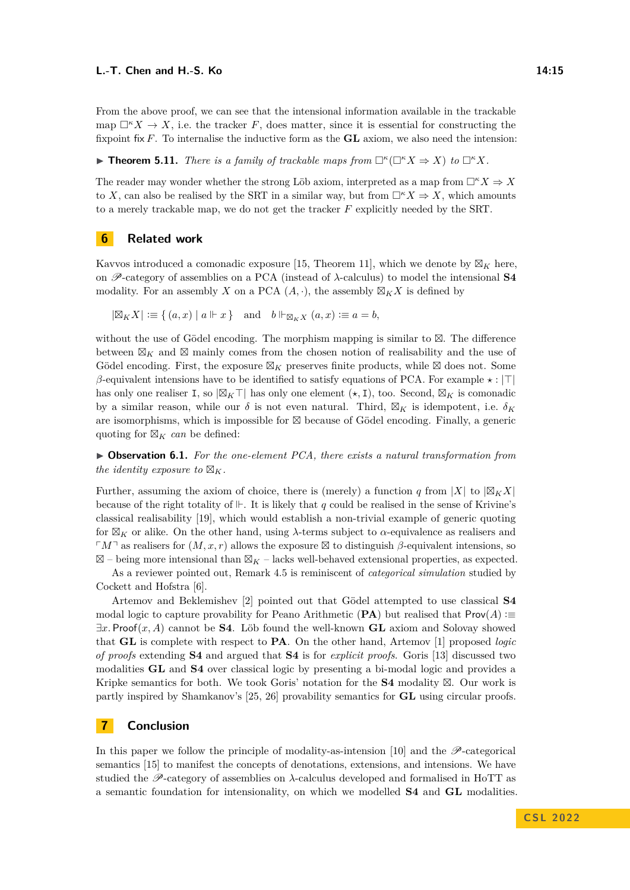From the above proof, we can see that the intensional information available in the trackable map  $\square^k X \to X$ , i.e. the tracker *F*, does matter, since it is essential for constructing the fixpoint fix *F*. To internalise the inductive form as the **GL** axiom, we also need the intension:

<span id="page-14-2"></span> $\blacktriangleright$  **Theorem 5.11.** *There is a family of trackable maps from*  $\Box^{\kappa}(\Box^{\kappa} X \Rightarrow X)$  *to*  $\Box^{\kappa} X$ *.* 

The reader may wonder whether the strong Löb axiom, interpreted as a map from  $\Box^k X \Rightarrow X$ to *X*, can also be realised by the SRT in a similar way, but from  $\Box^k X \Rightarrow X$ , which amounts to a merely trackable map, we do not get the tracker *F* explicitly needed by the SRT.

# <span id="page-14-0"></span>**6 Related work**

Kavvos introduced a comonadic exposure [\[15,](#page-16-5) Theorem 11], which we denote by  $\boxtimes_K$  here, on P-category of assemblies on a PCA (instead of *λ*-calculus) to model the intensional **S4** modality. For an assembly *X* on a PCA  $(A, \cdot)$ , the assembly  $\mathbb{Z}_K X$  is defined by

 $|\mathbb{Z}_K X| := \{ (a, x) | a \Vdash x \}$  and  $b \Vdash_{\mathbb{Z}_K X} (a, x) := a = b$ ,

without the use of Gödel encoding. The morphism mapping is similar to ⊠. The difference between  $\boxtimes_K$  and  $\boxtimes$  mainly comes from the chosen notion of realisability and the use of Gödel encoding. First, the exposure  $\boxtimes_K$  preserves finite products, while  $\boxtimes$  does not. Some *β*-equivalent intensions have to be identified to satisfy equations of PCA. For example *⋆* : |⊤| has only one realiser I, so |⊠*K*⊤| has only one element (*⋆,* I), too. Second, ⊠*<sup>K</sup>* is comonadic by a similar reason, while our  $\delta$  is not even natural. Third,  $\boxtimes_K$  is idempotent, i.e.  $\delta_K$ are isomorphisms, which is impossible for ⊠ because of Gödel encoding. Finally, a generic quoting for  $\boxtimes_K$  *can* be defined:

▶ **Observation 6.1.** *For the one-element PCA, there exists a natural transformation from the identity exposure to*  $\mathbb{Z}_K$ *.* 

Further, assuming the axiom of choice, there is (merely) a function *q* from |*X*| to  $|\mathbb{Z}_K X|$ because of the right totality of ⊩. It is likely that *q* could be realised in the sense of Krivine's classical realisability [\[19\]](#page-16-15), which would establish a non-trivial example of generic quoting for ⊠*<sup>K</sup>* or alike. On the other hand, using *λ*-terms subject to *α*-equivalence as realisers and  $\ulcorner M\urcorner$  as realisers for  $(M, x, r)$  allows the exposure ⊠ to distinguish *β*-equivalent intensions, so ⊠ – being more intensional than ⊠*<sup>K</sup>* – lacks well-behaved extensional properties, as expected.

As a reviewer pointed out, Remark [4.5](#page-9-0) is reminiscent of *categorical simulation* studied by Cockett and Hofstra [\[6\]](#page-15-10).

Artemov and Beklemishev [\[2\]](#page-15-11) pointed out that Gödel attempted to use classical **S4** modal logic to capture provability for Peano Arithmetic (**PA**) but realised that  $Prov(A) :=$ ∃*x.* Proof(*x, A*) cannot be **S4**. Löb found the well-known **GL** axiom and Solovay showed that **GL** is complete with respect to **PA**. On the other hand, Artemov [\[1\]](#page-15-12) proposed *logic of proofs* extending **S4** and argued that **S4** is for *explicit proofs*. Goris [\[13\]](#page-15-13) discussed two modalities **GL** and **S4** over classical logic by presenting a bi-modal logic and provides a Kripke semantics for both. We took Goris' notation for the **S4** modality ⊠. Our work is partly inspired by Shamkanov's [\[25,](#page-16-16) [26\]](#page-16-17) provability semantics for **GL** using circular proofs.

# <span id="page-14-1"></span>**7 Conclusion**

In this paper we follow the principle of modality-as-intension [\[10\]](#page-15-1) and the  $\mathscr P$ -categorical semantics [\[15\]](#page-16-5) to manifest the concepts of denotations, extensions, and intensions. We have studied the  $\mathscr{P}$ -category of assemblies on  $\lambda$ -calculus developed and formalised in HoTT as a semantic foundation for intensionality, on which we modelled **S4** and **GL** modalities.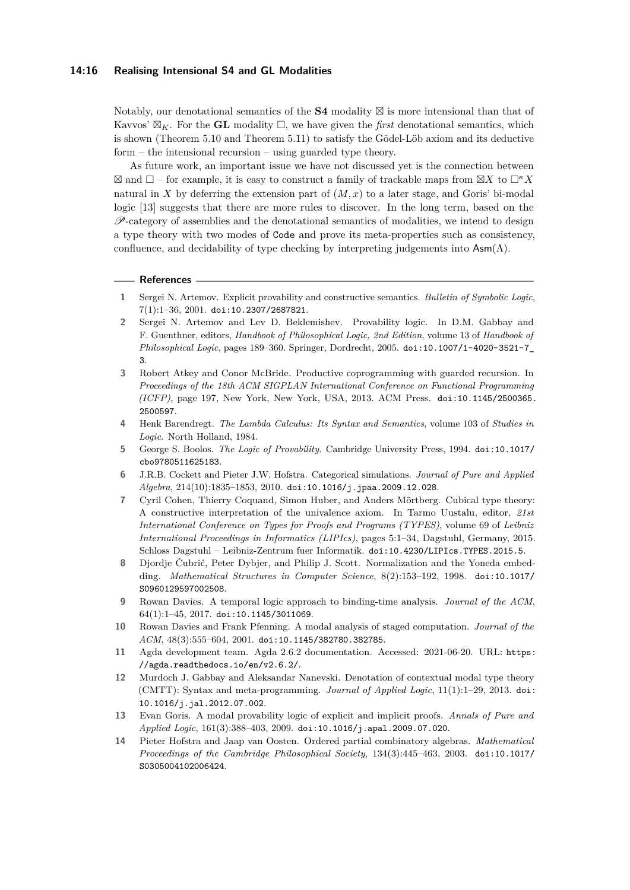#### **14:16 Realising Intensional S4 and GL Modalities**

Notably, our denotational semantics of the **S4** modality ⊠ is more intensional than that of Kavvos'  $\mathbb{Z}_K$ . For the **GL** modality  $\Box$ , we have given the *first* denotational semantics, which is shown (Theorem [5.10](#page-13-0) and Theorem [5.11\)](#page-14-2) to satisfy the Gödel-Löb axiom and its deductive form – the intensional recursion – using guarded type theory.

As future work, an important issue we have not discussed yet is the connection between  $\boxtimes$  and  $\Box$  – for example, it is easy to construct a family of trackable maps from  $\boxtimes X$  to  $\Box^k X$ natural in *X* by deferring the extension part of  $(M, x)$  to a later stage, and Goris' bi-modal logic [\[13\]](#page-15-13) suggests that there are more rules to discover. In the long term, based on the  $\mathscr{P}$ -category of assemblies and the denotational semantics of modalities, we intend to design a type theory with two modes of Code and prove its meta-properties such as consistency, confluence, and decidability of type checking by interpreting judgements into  $\text{Asm}(\Lambda)$ .

#### **References**

- <span id="page-15-12"></span>**1** Sergei N. Artemov. Explicit provability and constructive semantics. *Bulletin of Symbolic Logic*, 7(1):1–36, 2001. [doi:10.2307/2687821](https://doi.org/10.2307/2687821).
- <span id="page-15-11"></span>**2** Sergei N. Artemov and Lev D. Beklemishev. Provability logic. In D.M. Gabbay and F. Guenthner, editors, *Handbook of Philosophical Logic, 2nd Edition*, volume 13 of *Handbook of Philosophical Logic*, pages 189–360. Springer, Dordrecht, 2005. [doi:10.1007/1-4020-3521-7\\_](https://doi.org/10.1007/1-4020-3521-7_3) [3](https://doi.org/10.1007/1-4020-3521-7_3).
- <span id="page-15-9"></span>**3** Robert Atkey and Conor McBride. Productive coprogramming with guarded recursion. In *Proceedings of the 18th ACM SIGPLAN International Conference on Functional Programming (ICFP)*, page 197, New York, New York, USA, 2013. ACM Press. [doi:10.1145/2500365.](https://doi.org/10.1145/2500365.2500597) [2500597](https://doi.org/10.1145/2500365.2500597).
- <span id="page-15-2"></span>**4** Henk Barendregt. *The Lambda Calculus: Its Syntax and Semantics*, volume 103 of *Studies in Logic*. North Holland, 1984.
- <span id="page-15-3"></span>**5** George S. Boolos. *The Logic of Provability*. Cambridge University Press, 1994. [doi:10.1017/](https://doi.org/10.1017/cbo9780511625183) [cbo9780511625183](https://doi.org/10.1017/cbo9780511625183).
- <span id="page-15-10"></span>**6** J.R.B. Cockett and Pieter J.W. Hofstra. Categorical simulations. *Journal of Pure and Applied Algebra*, 214(10):1835–1853, 2010. [doi:10.1016/j.jpaa.2009.12.028](https://doi.org/10.1016/j.jpaa.2009.12.028).
- <span id="page-15-7"></span>**7** Cyril Cohen, Thierry Coquand, Simon Huber, and Anders Mörtberg. Cubical type theory: A constructive interpretation of the univalence axiom. In Tarmo Uustalu, editor, *21st International Conference on Types for Proofs and Programs (TYPES)*, volume 69 of *Leibniz International Proceedings in Informatics (LIPIcs)*, pages 5:1–34, Dagstuhl, Germany, 2015. Schloss Dagstuhl – Leibniz-Zentrum fuer Informatik. [doi:10.4230/LIPIcs.TYPES.2015.5](https://doi.org/10.4230/LIPIcs.TYPES.2015.5).
- <span id="page-15-4"></span>**8** Djordje Čubrić, Peter Dybjer, and Philip J. Scott. Normalization and the Yoneda embedding. *Mathematical Structures in Computer Science*, 8(2):153–192, 1998. [doi:10.1017/](https://doi.org/10.1017/S0960129597002508) [S0960129597002508](https://doi.org/10.1017/S0960129597002508).
- <span id="page-15-0"></span>**9** Rowan Davies. A temporal logic approach to binding-time analysis. *Journal of the ACM*, 64(1):1–45, 2017. [doi:10.1145/3011069](https://doi.org/10.1145/3011069).
- <span id="page-15-1"></span>**10** Rowan Davies and Frank Pfenning. A modal analysis of staged computation. *Journal of the ACM*, 48(3):555–604, 2001. [doi:10.1145/382780.382785](https://doi.org/10.1145/382780.382785).
- <span id="page-15-6"></span>**11** Agda development team. Agda 2.6.2 documentation. Accessed: 2021-06-20. URL: [https:](https://agda.readthedocs.io/en/v2.6.2/) [//agda.readthedocs.io/en/v2.6.2/](https://agda.readthedocs.io/en/v2.6.2/).
- <span id="page-15-5"></span>**12** Murdoch J. Gabbay and Aleksandar Nanevski. Denotation of contextual modal type theory (CMTT): Syntax and meta-programming. *Journal of Applied Logic*, 11(1):1–29, 2013. [doi:](https://doi.org/10.1016/j.jal.2012.07.002) [10.1016/j.jal.2012.07.002](https://doi.org/10.1016/j.jal.2012.07.002).
- <span id="page-15-13"></span>**13** Evan Goris. A modal provability logic of explicit and implicit proofs. *Annals of Pure and Applied Logic*, 161(3):388–403, 2009. [doi:10.1016/j.apal.2009.07.020](https://doi.org/10.1016/j.apal.2009.07.020).
- <span id="page-15-8"></span>**14** Pieter Hofstra and Jaap van Oosten. Ordered partial combinatory algebras. *Mathematical Proceedings of the Cambridge Philosophical Society*, 134(3):445–463, 2003. [doi:10.1017/](https://doi.org/10.1017/S0305004102006424) [S0305004102006424](https://doi.org/10.1017/S0305004102006424).